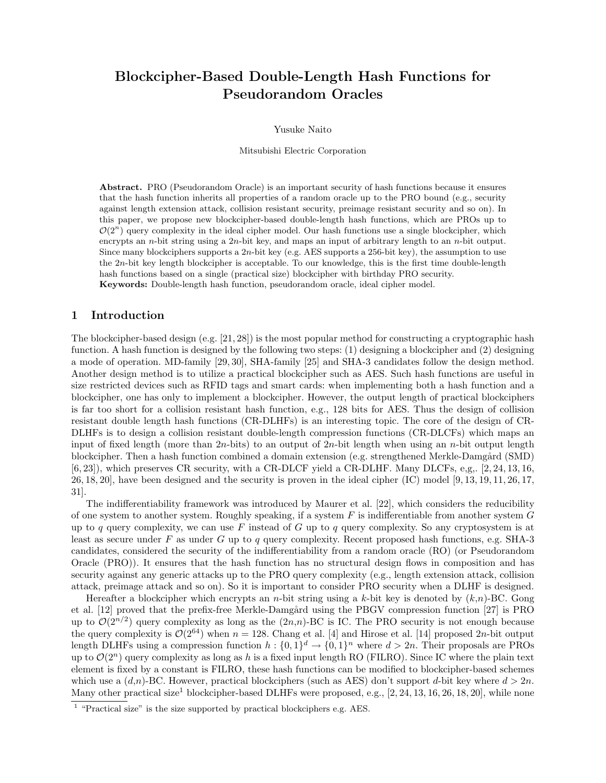# **Blockcipher-Based Double-Length Hash Functions for Pseudorandom Oracles**

Yusuke Naito

Mitsubishi Electric Corporation

**Abstract.** PRO (Pseudorandom Oracle) is an important security of hash functions because it ensures that the hash function inherits all properties of a random oracle up to the PRO bound (e.g., security against length extension attack, collision resistant security, preimage resistant security and so on). In this paper, we propose new blockcipher-based double-length hash functions, which are PROs up to  $\mathcal{O}(2^n)$  query complexity in the ideal cipher model. Our hash functions use a single blockcipher, which encrypts an *n*-bit string using a 2*n*-bit key, and maps an input of arbitrary length to an *n*-bit output. Since many blockciphers supports a 2*n*-bit key (e.g. AES supports a 256-bit key), the assumption to use the 2*n*-bit key length blockcipher is acceptable. To our knowledge, this is the first time double-length hash functions based on a single (practical size) blockcipher with birthday PRO security. **Keywords:** Double-length hash function, pseudorandom oracle, ideal cipher model.

## **1 Introduction**

The blockcipher-based design (e.g. [21, 28]) is the most popular method for constructing a cryptographic hash function. A hash function is designed by the following two steps: (1) designing a blockcipher and (2) designing a mode of operation. MD-family [29, 30], SHA-family [25] and SHA-3 candidates follow the design method. Another design method is to utilize a practical blockcipher such as AES. Such hash functions are useful in size restricted devices such as RFID tags and smart cards: when implementing both a hash function and a blockcipher, one has only to implement a blockcipher. However, the output length of practical blockciphers is far too short for a collision resistant hash function, e.g., 128 bits for AES. Thus the design of collision resistant double length hash functions (CR-DLHFs) is an interesting topic. The core of the design of CR-DLHFs is to design a collision resistant double-length compression functions (CR-DLCFs) which maps an input of fixed length (more than 2*n*-bits) to an output of 2*n*-bit length when using an *n*-bit output length blockcipher. Then a hash function combined a domain extension (e.g. strengthened Merkle-Damgård (SMD) [6, 23]), which preserves CR security, with a CR-DLCF yield a CR-DLHF. Many DLCFs, e,g,. [2, 24, 13, 16, 26, 18, 20], have been designed and the security is proven in the ideal cipher (IC) model [9, 13, 19, 11, 26, 17, 31].

The indifferentiability framework was introduced by Maurer et al. [22], which considers the reducibility of one system to another system. Roughly speaking, if a system *F* is indifferentiable from another system *G* up to *q* query complexity, we can use *F* instead of *G* up to *q* query complexity. So any cryptosystem is at least as secure under *F* as under *G* up to *q* query complexity. Recent proposed hash functions, e.g. SHA-3 candidates, considered the security of the indifferentiability from a random oracle (RO) (or Pseudorandom Oracle (PRO)). It ensures that the hash function has no structural design flows in composition and has security against any generic attacks up to the PRO query complexity (e.g., length extension attack, collision attack, preimage attack and so on). So it is important to consider PRO security when a DLHF is designed.

Hereafter a blockcipher which encrypts an *n*-bit string using a *k*-bit key is denoted by (*k*,*n*)-BC. Gong et al. [12] proved that the prefix-free Merkle-Damgård using the PBGV compression function [27] is PRO up to  $\mathcal{O}(2^{n/2})$  query complexity as long as the  $(2n,n)$ -BC is IC. The PRO security is not enough because the query complexity is  $\mathcal{O}(2^{64})$  when  $n = 128$ . Chang et al. [4] and Hirose et al. [14] proposed 2*n*-bit output length DLHFs using a compression function  $h: \{0,1\}^d \to \{0,1\}^n$  where  $d > 2n$ . Their proposals are PROs up to  $\mathcal{O}(2^n)$  query complexity as long as h is a fixed input length RO (FILRO). Since IC where the plain text element is fixed by a constant is FILRO, these hash functions can be modified to blockcipher-based schemes which use a  $(d, n)$ -BC. However, practical blockciphers (such as AES) don't support *d*-bit key where  $d > 2n$ . Many other practical size<sup>1</sup> blockcipher-based DLHFs were proposed, e.g., [2, 24, 13, 16, 26, 18, 20], while none

<sup>&</sup>lt;sup>1</sup> "Practical size" is the size supported by practical blockciphers e.g. AES.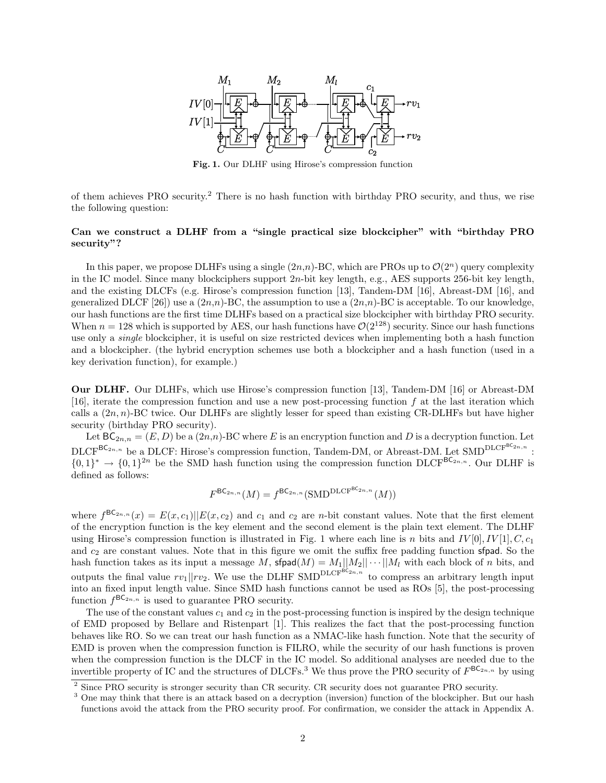

**Fig. 1.** Our DLHF using Hirose's compression function

of them achieves PRO security.<sup>2</sup> There is no hash function with birthday PRO security, and thus, we rise the following question:

# **Can we construct a DLHF from a "single practical size blockcipher" with "birthday PRO security"?**

In this paper, we propose DLHFs using a single  $(2n, n)$ -BC, which are PROs up to  $\mathcal{O}(2^n)$  query complexity in the IC model. Since many blockciphers support 2*n*-bit key length, e.g., AES supports 256-bit key length, and the existing DLCFs (e.g. Hirose's compression function [13], Tandem-DM [16], Abreast-DM [16], and generalized DLCF [26]) use a  $(2n,n)$ -BC, the assumption to use a  $(2n,n)$ -BC is acceptable. To our knowledge, our hash functions are the first time DLHFs based on a practical size blockcipher with birthday PRO security. When  $n = 128$  which is supported by AES, our hash functions have  $\mathcal{O}(2^{128})$  security. Since our hash functions use only a *single* blockcipher, it is useful on size restricted devices when implementing both a hash function and a blockcipher. (the hybrid encryption schemes use both a blockcipher and a hash function (used in a key derivation function), for example.)

**Our DLHF.** Our DLHFs, which use Hirose's compression function [13], Tandem-DM [16] or Abreast-DM [16], iterate the compression function and use a new post-processing function *f* at the last iteration which calls a (2*n, n*)-BC twice. Our DLHFs are slightly lesser for speed than existing CR-DLHFs but have higher security (birthday PRO security).

Let  $BC_{2n,n} = (E, D)$  be a  $(2n,n)$ -BC where *E* is an encryption function and *D* is a decryption function. Let  $\text{DLCF}^{\text{BC}_{2n,n}}$  be a DLCF: Hirose's compression function, Tandem-DM, or Abreast-DM. Let SMD<sup>DLCF<sup>BC</sup>2n,n</sup>:  $\{0,1\}^* \to \{0,1\}^{2n}$  be the SMD hash function using the compression function DLCF<sup>BC<sub>2*n,n*</sub></sup>. Our DLHF is defined as follows:

$$
F^{\mathsf{BC}_{2n,n}}(M) = f^{\mathsf{BC}_{2n,n}}(\text{SMD}^{\text{DLCF}^{\mathsf{BC}_{2n,n}}}(M))
$$

where  $f^{BC_{2n,n}}(x) = E(x, c_1)||E(x, c_2)$  and  $c_1$  and  $c_2$  are *n*-bit constant values. Note that the first element of the encryption function is the key element and the second element is the plain text element. The DLHF using Hirose's compression function is illustrated in Fig. 1 where each line is *n* bits and  $IV[0], IV[1], C, c_1$ and  $c_2$  are constant values. Note that in this figure we omit the suffix free padding function sfpad. So the hash function takes as its input a message M,  $\text{sfpad}(M) = M_1||M_2|| \cdots ||M_l$  with each block of *n* bits, and outputs the final value  $rv_1$ <sup>*||rv*<sub>2</sub>. We use the DLHF SMD<sup>DLCFBC<sub>2*n,n*</sub> to compress an arbitrary length input</sup></sup> into an fixed input length value. Since SMD hash functions cannot be used as ROs [5], the post-processing function  $f^{\text{BC}_{2n,n}}$  is used to guarantee PRO security.

The use of the constant values  $c_1$  and  $c_2$  in the post-processing function is inspired by the design technique of EMD proposed by Bellare and Ristenpart [1]. This realizes the fact that the post-processing function behaves like RO. So we can treat our hash function as a NMAC-like hash function. Note that the security of EMD is proven when the compression function is FILRO, while the security of our hash functions is proven when the compression function is the DLCF in the IC model. So additional analyses are needed due to the invertible property of IC and the structures of DLCFs.<sup>3</sup> We thus prove the PRO security of  $F^{\text{BC}_{2n,n}}$  by using

<sup>&</sup>lt;sup>2</sup> Since PRO security is stronger security than CR security. CR security does not guarantee PRO security.

<sup>&</sup>lt;sup>3</sup> One may think that there is an attack based on a decryption (inversion) function of the blockcipher. But our hash functions avoid the attack from the PRO security proof. For confirmation, we consider the attack in Appendix A.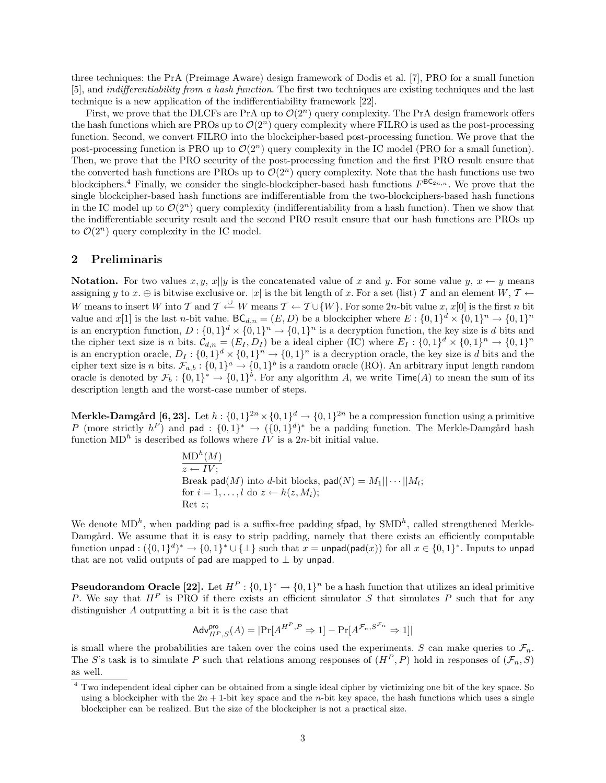three techniques: the PrA (Preimage Aware) design framework of Dodis et al. [7], PRO for a small function [5], and *indifferentiability from a hash function*. The first two techniques are existing techniques and the last technique is a new application of the indifferentiability framework [22].

First, we prove that the DLCFs are PrA up to  $\mathcal{O}(2^n)$  query complexity. The PrA design framework offers the hash functions which are PROs up to  $\mathcal{O}(2^n)$  query complexity where FILRO is used as the post-processing function. Second, we convert FILRO into the blockcipher-based post-processing function. We prove that the post-processing function is PRO up to  $\mathcal{O}(2^n)$  query complexity in the IC model (PRO for a small function). Then, we prove that the PRO security of the post-processing function and the first PRO result ensure that the converted hash functions are PROs up to  $\mathcal{O}(2^n)$  query complexity. Note that the hash functions use two blockciphers.<sup>4</sup> Finally, we consider the single-blockcipher-based hash functions  $F^{\mathsf{BC}_{2n,n}}$ . We prove that the single blockcipher-based hash functions are indifferentiable from the two-blockciphers-based hash functions in the IC model up to  $\mathcal{O}(2^n)$  query complexity (indifferentiability from a hash function). Then we show that the indifferentiable security result and the second PRO result ensure that our hash functions are PROs up to  $\mathcal{O}(2^n)$  query complexity in the IC model.

## **2 Preliminaris**

**Notation.** For two values  $x, y, x||y$  is the concatenated value of *x* and *y*. For some value  $y, x \leftarrow y$  means assigning *y* to *x*.  $\oplus$  is bitwise exclusive or.  $|x|$  is the bit length of *x*. For a set (list) *T* and an element *W*, *T*  $\leftarrow$ *W* means to insert *W* into *T* and  $T \stackrel{\cup}{\leftarrow} W$  means  $T \leftarrow T \cup \{W\}$ . For some 2*n*-bit value *x*, *x*[0] is the first *n* bit value and  $x[1]$  is the last *n*-bit value.  $BC_{d,n} = (E, D)$  be a blockcipher where  $E: \{0,1\}^d \times \{0,1\}^n \to \{0,1\}^n$ is an encryption function,  $D: \{0,1\}^d \times \{0,1\}^n \to \{0,1\}^n$  is a decryption function, the key size is *d* bits and the cipher text size is n bits.  $\mathcal{C}_{d,n} = (E_I, D_I)$  be a ideal cipher (IC) where  $E_I : \{0,1\}^d \times \{0,1\}^n \to \{0,1\}^n$ is an encryption oracle,  $D_I: \{0,1\}^d \times \{0,1\}^n \to \{0,1\}^n$  is a decryption oracle, the key size is *d* bits and the cipher text size is *n* bits.  $\mathcal{F}_{a,b}$ :  $\{0,1\}^a \to \{0,1\}^b$  is a random oracle (RO). An arbitrary input length random oracle is denoted by  $\mathcal{F}_b: \{0,1\}^* \to \{0,1\}^b$ . For any algorithm *A*, we write  $\mathsf{Time}(A)$  to mean the sum of its description length and the worst-case number of steps.

**Merkle-Damgård** [6, 23]. Let  $h: \{0,1\}^{2n} \times \{0,1\}^d \to \{0,1\}^{2n}$  be a compression function using a primitive *P* (more strictly  $h^P$ ) and pad :  $\{0,1\}^* \to (\{0,1\}^d)^*$  be a padding function. The Merkle-Damgård hash function  $MD<sup>h</sup>$  is described as follows where *IV* is a 2*n*-bit initial value.

$$
\frac{\text{MD}^h(M)}{z \leftarrow IV};
$$
\nBreak pad(M) into d-bit blocks, pad(N) = M<sub>1</sub>||···||M<sub>i</sub>;  
\nfor  $i = 1, \ldots, l$  do  $z \leftarrow h(z, M_i);$ 

\nRet  $z;$ 

We denote  $MD<sup>h</sup>$ , when padding **pad** is a suffix-free padding **sfpad**, by SMD<sup>h</sup>, called strengthened Merkle-Damgård. We assume that it is easy to strip padding, namely that there exists an efficiently computable function unpad:  $(\{0,1\}^d)^* \to \{0,1\}^* \cup \{\perp\}$  such that  $x = \text{unpad}(\text{pad}(x))$  for all  $x \in \{0,1\}^*$ . Inputs to unpad that are not valid outputs of pad are mapped to *⊥* by unpad.

**Pseudorandom Oracle [22].** Let  $H^P: \{0,1\}^* \to \{0,1\}^n$  be a hash function that utilizes an ideal primitive *P*. We say that *H<sup>P</sup>* is PRO if there exists an efficient simulator *S* that simulates *P* such that for any distinguisher *A* outputting a bit it is the case that

$$
\mathsf{Adv}_{H^{P},S}^{\mathsf{pro}}(A) = |\Pr[A^{H^{P},P} \Rightarrow 1] - \Pr[A^{\mathcal{F}_n, S^{\mathcal{F}_n}} \Rightarrow 1]|
$$

is small where the probabilities are taken over the coins used the experiments. *S* can make queries to  $\mathcal{F}_n$ . The *S*'s task is to simulate *P* such that relations among responses of  $(H^P, P)$  hold in responses of  $(\mathcal{F}_n, S)$ as well.

<sup>4</sup> Two independent ideal cipher can be obtained from a single ideal cipher by victimizing one bit of the key space. So using a blockcipher with the  $2n + 1$ -bit key space and the *n*-bit key space, the hash functions which uses a single blockcipher can be realized. But the size of the blockcipher is not a practical size.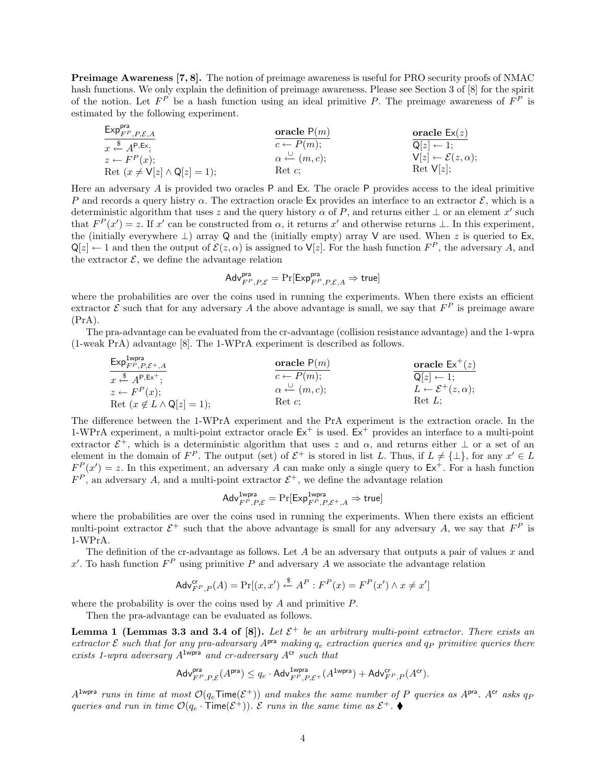**Preimage Awareness [7, 8].** The notion of preimage awareness is useful for PRO security proofs of NMAC hash functions. We only explain the definition of preimage awareness. Please see Section 3 of [8] for the spirit of the notion. Let  $F^P$  be a hash function using an ideal primitive P. The preimage awareness of  $F^P$  is estimated by the following experiment.

| $\text{Exp}_{F^P, P, \mathcal{E}, A}$   | $\text{oracle } P(m)$                        | $\text{oracle } \mathsf{Ex}(z)$           |
|-----------------------------------------|----------------------------------------------|-------------------------------------------|
| $x \stackrel{\$}{\leftarrow} A^{P,Ex};$ | $c \leftarrow P(m);$                         | $\text{oracle } \mathsf{Ex}(z)$           |
| $z \leftarrow F^P(x);$                  | $\alpha \stackrel{\cup}{\leftarrow} (m, c);$ | $V[z] \leftarrow \mathcal{E}(z, \alpha);$ |
| Ret $(x \neq V[z] \land Q[z] = 1);$     | $\text{Ret } c;$                             | $\text{Ret } V[z];$                       |

Here an adversary *A* is provided two oracles P and Ex. The oracle P provides access to the ideal primitive *P* and records a query histry *α*. The extraction oracle Ex provides an interface to an extractor *E*, which is a deterministic algorithm that uses *z* and the query history  $\alpha$  of  $P$ , and returns either  $\bot$  or an element  $x'$  such that  $F^P(x') = z$ . If *x'* can be constructed from  $\alpha$ , it returns *x'* and otherwise returns  $\bot$ . In this experiment, the (initially everywhere *⊥*) array Q and the (initially empty) array V are used. When *z* is queried to Ex,  $\mathsf{Q}[z] \leftarrow 1$  and then the output of  $\mathcal{E}(z, \alpha)$  is assigned to  $\mathsf{V}[z]$ . For the hash function  $F^P$ , the adversary *A*, and the extractor  $\mathcal{E}$ , we define the advantage relation

$$
\mathsf{Adv}_{F^P,P,\mathcal{E}}^{\mathsf{pra}} = \Pr[\mathsf{Exp}_{F^P,P,\mathcal{E},A}^{\mathsf{pra}} \Rightarrow \mathsf{true}]
$$

where the probabilities are over the coins used in running the experiments. When there exists an efficient extractor  $\mathcal E$  such that for any adversary  $A$  the above advantage is small, we say that  $F^P$  is preimage aware  $(PrA)$ .

The pra-advantage can be evaluated from the cr-advantage (collision resistance advantage) and the 1-wpra (1-weak PrA) advantage [8]. The 1-WPrA experiment is described as follows.

| \n $\text{Exp}_{FP, P, \mathcal{E}^+,\mathcal{A}}^{mpr}_{r,P, \mathcal{E}^+,\mathcal{A}}\n \quad \text{oracle } P(m)$ \n | \n $\text{oracle } P(m)$ \n                                                                                     | \n $\text{oracle } \mathsf{Ex}^+(z)$ \n |
|--------------------------------------------------------------------------------------------------------------------------|-----------------------------------------------------------------------------------------------------------------|-----------------------------------------|
| \n $\begin{aligned}\n &\stackrel{\$}{z \leftarrow} P^P(x);\n \end{aligned}$ \n                                           | \n $\alpha \leftarrow (m, c);\n \quad\n \begin{aligned}\n &\stackrel{\$}{Q[z] \leftarrow 1;\n \end{aligned}$ \n |                                         |
| \n $\text{Ret } (x \notin L \land Q[z] = 1);$ \n                                                                         | \n $\text{Ret } c;\n \quad\n \text{Ret } L;$ \n                                                                 |                                         |

The difference between the 1-WPrA experiment and the PrA experiment is the extraction oracle. In the 1-WPrA experiment, a multi-point extractor oracle  $Ex^+$  is used.  $Ex^+$  provides an interface to a multi-point extractor  $\mathcal{E}^+$ , which is a deterministic algorithm that uses *z* and  $\alpha$ , and returns either  $\perp$  or a set of an element in the domain of  $F^P$ . The output (set) of  $\mathcal{E}^+$  is stored in list *L*. Thus, if  $L \neq {\{\perp\}}$ , for any  $x' \in L$  $F^{P}(x') = z$ . In this experiment, an adversary *A* can make only a single query to  $Ex^+$ . For a hash function  $F^P$ , an adversary *A*, and a multi-point extractor  $\mathcal{E}^+$ , we define the advantage relation

$$
\mathsf{Adv}_{F^P,P,\mathcal{E}}^{\mathsf{1wpra}} = \Pr[\mathsf{Exp}_{F^P,P,\mathcal{E}^+,A}^{\mathsf{1wpra}} \Rightarrow \mathsf{true}]
$$

where the probabilities are over the coins used in running the experiments. When there exists an efficient multi-point extractor  $\mathcal{E}^+$  such that the above advantage is small for any adversary A, we say that  $F^P$  is 1-WPrA.

The definition of the cr-advantage as follows. Let *A* be an adversary that outputs a pair of values *x* and x<sup>'</sup>. To hash function  $F^P$  using primitive P and adversary A we associate the advantage relation

$$
\mathsf{Adv}_{F^P,P}^{\mathsf{cr}}(A) = \Pr[(x,x') \xleftarrow{\$} A^P : F^P(x) = F^P(x') \land x \neq x']
$$

where the probability is over the coins used by *A* and primitive *P*.

Then the pra-advantage can be evaluated as follows.

Exp1wpra

**Lemma 1 (Lemmas 3.3 and 3.4 of [8]).** Let  $\mathcal{E}^+$  be an arbitrary multi-point extractor. There exists an  $ext{ractor}$  *E* such that for any pra-advarsary  $A^{pra}$  making  $q_e$  extraction queries and  $q_p$  primitive queries there *exists 1-wpra adversary A*1wpra *and cr-adversary A*cr *such that*

$$
\mathsf{Adv}_{F^P,P,\mathcal{E}}^{\mathsf{pra}}(A^{\mathsf{pra}}) \leq q_e \cdot \mathsf{Adv}_{F^P,P,\mathcal{E}^+}^{\mathsf{1wpra}}(A^{\mathsf{1wpra}}) + \mathsf{Adv}_{F^P,P}^{\mathsf{cr}}(A^{\mathsf{cr}}).
$$

 $A^{1 \text{wpra}}$  *runs in time at most*  $\mathcal{O}(q_e \text{Time}(\mathcal{E}^+))$  *and makes the same number of P queries as*  $A^{\text{pra}}$ *.*  $A^{\text{cr}}$  *asks*  $q_P$ *queries and run in time*  $\mathcal{O}(q_e \cdot \text{Time}(\mathcal{E}^+))$ *.*  $\mathcal{E}$  *runs in the same time as*  $\mathcal{E}^+$ *.*  $\blacklozenge$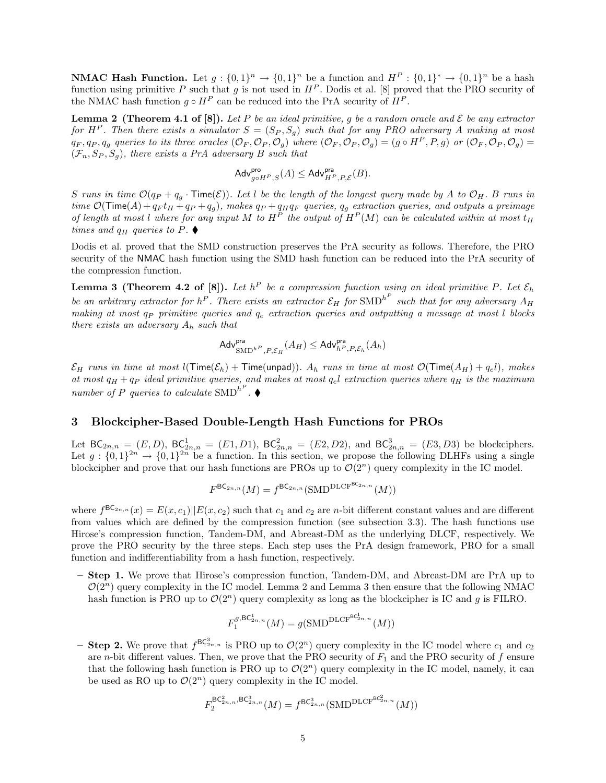**NMAC Hash Function.** Let  $g: \{0,1\}^n \to \{0,1\}^n$  be a function and  $H^P: \{0,1\}^* \to \{0,1\}^n$  be a hash function using primitive *P* such that *g* is not used in  $H^P$ . Dodis et al. [8] proved that the PRO security of the NMAC hash function  $q \circ H^P$  can be reduced into the PrA security of  $H^P$ .

**Lemma 2** (Theorem 4.1 of [8]). Let P be an ideal primitive, g be a random oracle and  $\mathcal{E}$  be any extractor *for*  $H^P$ . Then there exists a simulator  $S = (S_P, S_q)$  such that for any PRO adversary A making at most  $q_F, q_P, q_g$  queries to its three oracles  $(\mathcal{O}_F, \mathcal{O}_P, \mathcal{O}_g)$  where  $(\mathcal{O}_F, \mathcal{O}_P, \mathcal{O}_g) = (g \circ H^P, P, g)$  or  $(\mathcal{O}_F, \mathcal{O}_P, \mathcal{O}_g)$  $(\mathcal{F}_n, S_P, S_q)$ , there exists a PrA adversary B such that

$$
\mathsf{Adv}_{g\circ H^P,S}^{\mathsf{pro}}(A) \leq \mathsf{Adv}_{H^P,P,\mathcal{E}}^{\mathsf{pra}}(B).
$$

S runs in time  $\mathcal{O}(q_P + q_q \cdot \text{Time}(\mathcal{E}))$ . Let l be the length of the longest query made by A to  $\mathcal{O}_H$ . B runs in time  $\mathcal{O}(\text{Time}(A) + q_F t_H + q_P + q_g)$ , makes  $q_P + q_H q_F$  queries,  $q_g$  extraction queries, and outputs a preimage *of length at most l where for any input*  $M$  *to*  $H^P$  *the output of*  $H^P(M)$  *can be calculated within at most*  $t_H$ *times and*  $q_H$  *queries to*  $P$ *.* 

Dodis et al. proved that the SMD construction preserves the PrA security as follows. Therefore, the PRO security of the NMAC hash function using the SMD hash function can be reduced into the PrA security of the compression function.

**Lemma 3** (Theorem 4.2 of [8]). Let  $h^P$  be a compression function using an ideal primitive P. Let  $\mathcal{E}_h$ *be an arbitrary extractor for*  $h^P$ . There exists an extractor  $\mathcal{E}_H$  for  $\text{SMD}^{h^P}$  such that for any adversary  $A_H$ *making at most q<sup>P</sup> primitive queries and q<sup>e</sup> extraction queries and outputting a message at most l blocks there exists an adversary A<sup>h</sup> such that*

$$
\mathsf{Adv}_{\mathsf{SMD}^{h^P},P,\mathcal{E}_H}^{\mathsf{pra}}(A_H) \leq \mathsf{Adv}_{h^P,P,\mathcal{E}_h}^{\mathsf{pra}}(A_h)
$$

*E*<sub>H</sub> runs in time at most  $l(\text{Time}(\mathcal{E}_h) + \text{Time}(\text{unpad}))$ *.*  $A_h$  runs in time at most  $\mathcal{O}(\text{Time}(A_H) + q_e l)$ *, makes at most*  $q_H + q_P$  *ideal primitive queries, and makes at most*  $q_e$ *l extraction queries where*  $q_H$  *is the maximum number of P queries to calculate*  $SMD^{h^P}$ .

## **3 Blockcipher-Based Double-Length Hash Functions for PROs**

Let  $BC_{2n,n} = (E, D)$ ,  $BC_{2n,n}^1 = (E1, D1)$ ,  $BC_{2n,n}^2 = (E2, D2)$ , and  $BC_{2n,n}^3 = (E3, D3)$  be blockciphers. Let  $g: \{0,1\}^{2n} \to \{0,1\}^{2n}$  be a function. In this section, we propose the following DLHFs using a single blockcipher and prove that our hash functions are PROs up to  $\mathcal{O}(2^n)$  query complexity in the IC model.

$$
F^{\mathsf{BC}_{2n,n}}(M) = f^{\mathsf{BC}_{2n,n}}(\text{SMD}^{\text{DLCF}^{\mathsf{BC}_{2n,n}}}(M))
$$

where  $f^{BC_{2n,n}}(x) = E(x, c_1)||E(x, c_2)$  such that  $c_1$  and  $c_2$  are *n*-bit different constant values and are different from values which are defined by the compression function (see subsection 3.3). The hash functions use Hirose's compression function, Tandem-DM, and Abreast-DM as the underlying DLCF, respectively. We prove the PRO security by the three steps. Each step uses the PrA design framework, PRO for a small function and indifferentiability from a hash function, respectively.

**– Step 1.** We prove that Hirose's compression function, Tandem-DM, and Abreast-DM are PrA up to  $\mathcal{O}(2^n)$  query complexity in the IC model. Lemma 2 and Lemma 3 then ensure that the following NMAC hash function is PRO up to  $\mathcal{O}(2^n)$  query complexity as long as the blockcipher is IC and *g* is FILRO.

$$
F_1^{g,\mathrm{BC}^1_{2n,n}}(M)=g(\mathrm{SMD}^{\mathrm{DLCF}^{\mathrm{BC}^1_{2n,n}}}(M))
$$

 $-$  **Step 2.** We prove that  $f^{\mathsf{BC}_{2n,n}^3}$  is PRO up to  $\mathcal{O}(2^n)$  query complexity in the IC model where  $c_1$  and  $c_2$ are *n*-bit different values. Then, we prove that the PRO security of  $F_1$  and the PRO security of  $f$  ensure that the following hash function is PRO up to  $\mathcal{O}(2^n)$  query complexity in the IC model, namely, it can be used as RO up to  $\mathcal{O}(2^n)$  query complexity in the IC model.

$$
F_2^{\mathsf{BC}^2_{2n,n},\mathsf{BC}^3_{2n,n}}(M) = f^{\mathsf{BC}^3_{2n,n}}(\text{SMD}^{\mathsf{DLCF}^{\mathsf{BC}^2_{2n,n}}}(M))
$$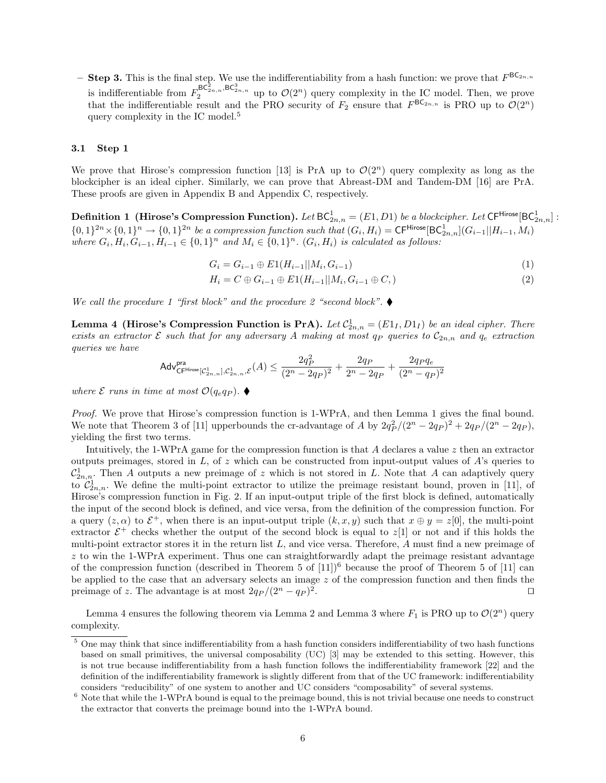**– Step 3.** This is the final step. We use the indifferentiability from a hash function: we prove that  $F^{\text{BC}_{2n,n}}$ is indifferentiable from  $F_2^{\mathsf{BC}_{2n,n}^2,\mathsf{BC}_{2n,n}^3}$  up to  $\mathcal{O}(2^n)$  query complexity in the IC model. Then, we prove that the indifferentiable result and the PRO security of  $F_2$  ensure that  $F^{\text{BC}_{2n,n}}$  is PRO up to  $\mathcal{O}(2^n)$ query complexity in the IC model.<sup>5</sup>

## **3.1 Step 1**

We prove that Hirose's compression function [13] is PrA up to  $\mathcal{O}(2^n)$  query complexity as long as the blockcipher is an ideal cipher. Similarly, we can prove that Abreast-DM and Tandem-DM [16] are PrA. These proofs are given in Appendix B and Appendix C, respectively.

 $\textbf{Definition 1} \ \left( \textbf{Hirose's Compression Function} \right) \textbf{.} \ Let \ \textsf{BC}_{2n,n}^1 = (E1,D1) \ be \ a \ block cipher. \ Let \ \textsf{CF}^{\textsf{Hirose}}[\textsf{BC}_{2n,n}^1]:$  $\{0,1\}^{2n}\times\{0,1\}^n\rightarrow\{0,1\}^{2n}\;be\;a\;compression\;function\;such\;that\;(G_i,H_i)=\mathsf{CF}^{\mathsf{Hirose}}[\mathsf{BC}_{2n,n}^1](G_{i-1}||H_{i-1},M_i)$ where  $G_i, H_i, G_{i-1}, H_{i-1} \in \{0,1\}^n$  and  $M_i \in \{0,1\}^n$ .  $(G_i, H_i)$  is calculated as follows:

$$
G_i = G_{i-1} \oplus E1(H_{i-1}||M_i, G_{i-1})
$$
\n(1)

$$
H_i = C \oplus G_{i-1} \oplus E1(H_{i-1}||M_i, G_{i-1} \oplus C, )
$$
\n(2)

*We call the procedure 1 "first block" and the procedure 2 "second block".* 

**Lemma 4 (Hirose's Compression Function is PrA).** Let  $C_{2n,n}^1 = (E1_I, D1_I)$  be an ideal cipher. There *exists an extractor*  $\mathcal{E}$  *such that for any adversary*  $A$  *making at most q<sub>P</sub> queries to*  $C_{2n,n}$  *and*  $q_e$  *extraction queries we have*

$$
\mathsf{Adv}^{\mathsf{pra}}_{\mathsf{CF}^{\mathsf{Hirose}}[\mathcal{C}^1_{2n,n}],\mathcal{C}^1_{2n,n},\mathcal{E}}(A) \leq \frac{2q_P^2}{(2^n-2q_P)^2} + \frac{2q_P}{2^n-2q_P} + \frac{2q_Pq_e}{(2^n-q_P)^2}
$$

*where*  $\mathcal{E}$  *runs in time at most*  $\mathcal{O}(q_e q_P)$ .

*Proof.* We prove that Hirose's compression function is 1-WPrA, and then Lemma 1 gives the final bound. We note that Theorem 3 of [11] upperbounds the cr-advantage of *A* by  $2q_P^2/(2^n - 2q_P)^2 + 2q_P/(2^n - 2q_P)$ , yielding the first two terms.

Intuitively, the 1-WPrA game for the compression function is that *A* declares a value *z* then an extractor outputs preimages, stored in *L*, of *z* which can be constructed from input-output values of *A*'s queries to  $\mathcal{C}^1_{2n,n}$ . Then *A* outputs a new preimage of *z* which is not stored in *L*. Note that *A* can adaptively query to  $\mathcal{C}_{2n,n}^1$ . We define the multi-point extractor to utilize the preimage resistant bound, proven in [11], of Hirose's compression function in Fig. 2. If an input-output triple of the first block is defined, automatically the input of the second block is defined, and vice versa, from the definition of the compression function. For a query  $(z, \alpha)$  to  $\mathcal{E}^+$ , when there is an input-output triple  $(k, x, y)$  such that  $x \oplus y = z[0]$ , the multi-point extractor  $\mathcal{E}^+$  checks whether the output of the second block is equal to  $z[1]$  or not and if this holds the multi-point extractor stores it in the return list *L*, and vice versa. Therefore, *A* must find a new preimage of *z* to win the 1-WPrA experiment. Thus one can straightforwardly adapt the preimage resistant advantage of the compression function (described in Theorem 5 of  $[11]$ <sup>6</sup> because the proof of Theorem 5 of  $[11]$  can be applied to the case that an adversary selects an image *z* of the compression function and then finds the preimage of *z*. The advantage is at most  $2q_P/(2^n - q_P)^2$ . *ut*

Lemma 4 ensures the following theorem via Lemma 2 and Lemma 3 where  $F_1$  is PRO up to  $\mathcal{O}(2^n)$  query complexity.

 $5$  One may think that since indifferentiability from a hash function considers indifferentiability of two hash functions based on small primitives, the universal composability (UC) [3] may be extended to this setting. However, this is not true because indifferentiability from a hash function follows the indifferentiability framework [22] and the definition of the indifferentiability framework is slightly different from that of the UC framework: indifferentiability considers "reducibility" of one system to another and UC considers "composability" of several systems.

 $6$  Note that while the 1-WPrA bound is equal to the preimage bound, this is not trivial because one needs to construct the extractor that converts the preimage bound into the 1-WPrA bound.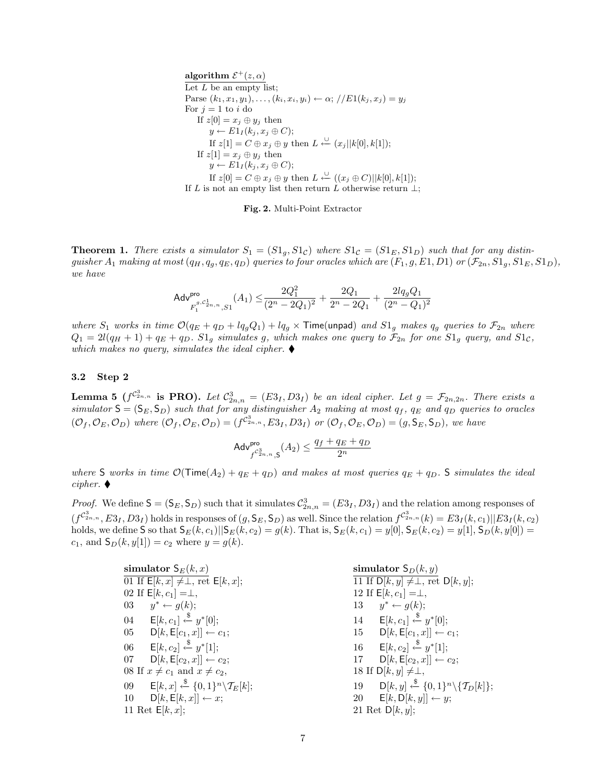$\textbf{algorithm} \ \mathcal{E}^+(z,\alpha)$ Let *L* be an empty list;  $\text{Parse } (k_1, x_1, y_1), \ldots, (k_i, x_i, y_i) \leftarrow \alpha; // E1(k_j, x_j) = y_j$ For  $j = 1$  to  $i$  do If  $z[0] = x_j \oplus y_j$  then  $y \leftarrow E1_I(k_j, x_j \oplus C);$ If  $z[1] = C \oplus x_j \oplus y$  then  $L \leftarrow (x_j||k[0], k[1])$ ; If  $z[1] = x_j \oplus y_j$  then  $y \leftarrow E1_I(k_j, x_j \oplus C);$ If  $z[0] = C ⊕ x_j ⊕ y$  then  $L \leftarrow (x_j ⊕ C) ||k[0], k[1]$ ; If *L* is not an empty list then return *L* otherwise return *⊥*;



**Theorem 1.** There exists a simulator  $S_1 = (S1_q, S1_c)$  where  $S1_c = (S1_E, S1_D)$  such that for any distinguisher  $A_1$  making at most  $(q_H, q_q, q_E, q_D)$  queries to four oracles which are  $(F_1, g, E_1, D_1)$  or  $(\mathcal{F}_{2n}, S_1, S_1, S_1, D_1)$ , *we have*

$$
\mathsf{Adv}_{F_1^{g,C_{2n,n}^1},S1}^{\mathsf{pro}}(A_1) \leq \frac{2Q_1^2}{(2^n-2Q_1)^2} + \frac{2Q_1}{2^n-2Q_1} + \frac{2lq_gQ_1}{(2^n-Q_1)^2}
$$

where  $S_1$  works in time  $\mathcal{O}(q_E + q_D + l q_g Q_1) + l q_g \times$  Time(unpad) and  $S1_g$  makes  $q_g$  queries to  $\mathcal{F}_{2n}$  where  $Q_1 = 2l(q_H + 1) + q_E + q_D$ .  $S1_q$  simulates g, which makes one query to  $\mathcal{F}_{2n}$  for one  $S1_q$  query, and  $S1_c$ , *which makes no query, simulates the ideal cipher.*  $\blacklozenge$ 

#### **3.2 Step 2**

**Lemma 5**  $(f^{C_{2n,n}^3}$  is PRO). Let  $C_{2n,n}^3 = (E3_I, D3_I)$  be an ideal cipher. Let  $g = \mathcal{F}_{2n,2n}$ . There exists a *simulator*  $S = (S_E, S_D)$  *such that for any distinguisher*  $A_2$  *making at most*  $q_f$ ,  $q_E$  *and*  $q_D$  *queries to oracles*  $(\mathcal{O}_f, \mathcal{O}_E, \mathcal{O}_D)$  where  $(\mathcal{O}_f, \mathcal{O}_E, \mathcal{O}_D) = (f^{\mathcal{C}_{2n,n}^3}, E3_I, D3_I)$  or  $(\mathcal{O}_f, \mathcal{O}_E, \mathcal{O}_D) = (g, S_E, S_D)$ , we have

$$
\mathsf{Adv}_{f^{\mathcal{C}^3_{2n,n}},\mathsf{S}}^{\mathsf{pro}}(A_2) \leq \frac{q_f+q_E+q_D}{2^n}
$$

*where* S *works in time*  $\mathcal{O}(\text{Time}(A_2) + q_E + q_D)$  *and makes at most queries*  $q_E + q_D$ . S *simulates the ideal*  $$ 

*Proof.* We define  $S = (S_E, S_D)$  such that it simulates  $C_{2n,n}^3 = (E_{2I}, D_{2I})$  and the relation among responses of  $(f^{C_{2n,n}^3}, E3_I, D3_I)$  holds in responses of  $(g, \mathsf{S}_E, \mathsf{S}_D)$  as well. Since the relation  $f^{C_{2n,n}^3}(k) = E3_I(k, c_1)||E3_I(k, c_2)$ holds, we define S so that  $S_E(k, c_1)$   $|S_E(k, c_2) = g(k)$ . That is,  $S_E(k, c_1) = y[0]$ ,  $S_E(k, c_2) = y[1]$ ,  $S_D(k, y[0]) =$  $c_1$ , and  $S_D(k, y[1]) = c_2$  where  $y = g(k)$ .

| simulator ${\sf S}_E(k,x)$ |                                                                                    |  |  |
|----------------------------|------------------------------------------------------------------------------------|--|--|
|                            | 01 If $E[k, x] \neq \perp$ , ret $E[k, x]$ ;                                       |  |  |
|                            | 02 If $E[k, c_1] = \perp$ ,                                                        |  |  |
| 03                         | $y^* \leftarrow g(k);$                                                             |  |  |
| 04                         | $E[k, c_1] \stackrel{\$}{\leftarrow} y^* [0];$                                     |  |  |
| 05 —                       | $D[k, E[c_1, x]] \leftarrow c_1;$                                                  |  |  |
| 06                         | $E[k, c_2] \stackrel{\$}{\leftarrow} y^*[1];$                                      |  |  |
| 07                         | $D[k, E[c_2, x]] \leftarrow c_2;$                                                  |  |  |
|                            | 08 If $x \neq c_1$ and $x \neq c_2$ ,                                              |  |  |
| 09                         | $\mathsf{E}[k,x] \stackrel{\$}{\leftarrow} \{0,1\}^n \backslash \mathcal{T}_E[k];$ |  |  |
| 10                         | $D[k, E[k, x]] \leftarrow x;$                                                      |  |  |
|                            | 11 Ret $E[k, x]$ ;                                                                 |  |  |

**simulator**  $S_D(k, y)$  $11$  If  $D[k, y] ≠ ⊥$ , ret  $D[k, y]$ ; 12 If  $E[k, c_1] = \perp$ , 13 *y*  $y^* \leftarrow g(k);$ 14 **E**[ $k, c_1$ ]  $\stackrel{\$}{\leftarrow} y^*$ [0]; 15  $D[k, E[c_1, x]] \leftarrow c_1;$ 16 **E**[ $k, c_2$ ]  $\stackrel{\$}{\leftarrow} y^*[1];$ 17  $D[k, E[c_2, x]] \leftarrow c_2;$ 18 If  $D[k, y] \neq \perp$ , 19  $D[k, y] \xleftarrow{\$} \{0, 1\}^n \setminus \{ \mathcal{T}_D[k] \};$ 20  $E[k, D[k, y]] \leftarrow y;$ 21 Ret D[*k, y*];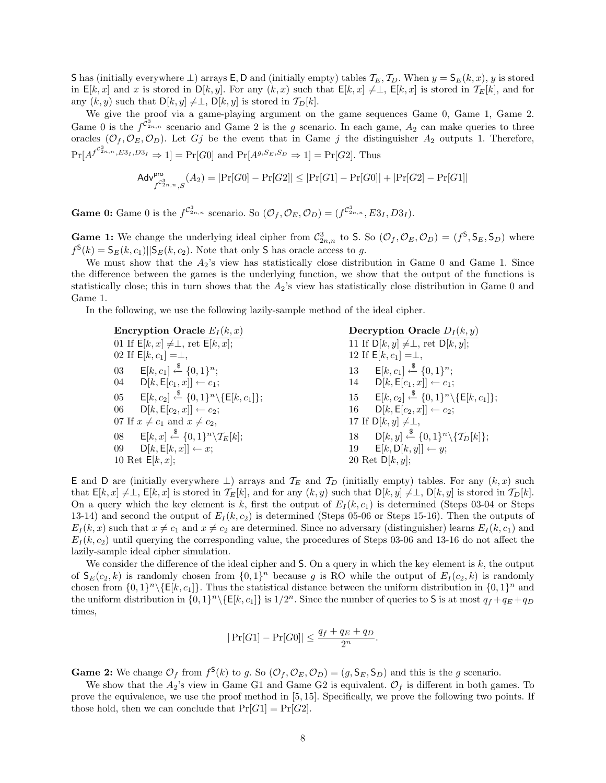S has (initially everywhere ⊥) arrays  $E$ , D and (initially empty) tables  $\mathcal{T}_E$ ,  $\mathcal{T}_D$ . When  $y = S_E(k, x)$ , *y* is stored in  $E[k, x]$  and *x* is stored in  $D[k, y]$ . For any  $(k, x)$  such that  $E[k, x] \neq \perp$ ,  $E[k, x]$  is stored in  $\mathcal{T}_E[k]$ , and for any  $(k, y)$  such that  $D[k, y] \neq \perp$ ,  $D[k, y]$  is stored in  $\mathcal{T}_D[k]$ .

We give the proof via a game-playing argument on the game sequences Game 0, Game 1, Game 2. Game 0 is the  $f^{\tilde{C}_{2n,n}^3}$  scenario and Game 2 is the *g* scenario. In each game,  $A_2$  can make queries to three oracles  $(\mathcal{O}_f, \mathcal{O}_E, \mathcal{O}_D)$ . Let *Gj* be the event that in Game *j* the distinguisher  $A_2$  outputs 1. Therefore,  $Pr[A^{f^{C_{2n,n}^3},E_{3I},D_{3I}} \Rightarrow 1] = Pr[G0]$  and  $Pr[A^{g,S_E,S_D} \Rightarrow 1] = Pr[G2]$ . Thus

$$
\mathsf{Adv}_{f^{C_{2n,n}^3},S}^{\mathsf{pro}}(A_2) = |\Pr[G0]-\Pr[G2]| \leq |\Pr[G1]-\Pr[G0]| + |\Pr[G2]-\Pr[G1]|
$$

**Game 0:** Game 0 is the  $f^{C_{2n,n}^3}$  scenario. So  $(\mathcal{O}_f, \mathcal{O}_E, \mathcal{O}_D) = (f^{C_{2n,n}^3}, E_{2f}, D_{2f})$ .

**Game 1:** We change the underlying ideal cipher from  $\mathcal{C}_{2n,n}^3$  to S. So  $(\mathcal{O}_f, \mathcal{O}_E, \mathcal{O}_D) = (f^{\mathsf{S}}, \mathsf{S}_E, \mathsf{S}_D)$  where  $f^{\mathsf{S}}(k) = \mathsf{S}_E(k, c_1) \|\mathsf{S}_E(k, c_2)$ . Note that only **S** has oracle access to *g*.

We must show that the  $A_2$ 's view has statistically close distribution in Game 0 and Game 1. Since the difference between the games is the underlying function, we show that the output of the functions is statistically close; this in turn shows that the *A*2's view has statistically close distribution in Game 0 and Game 1.

In the following, we use the following lazily-sample method of the ideal cipher.

| <b>Encryption Oracle</b> $E_I(k, x)$                                    | Decryption Oracle $D_I(k, y)$                                                           |
|-------------------------------------------------------------------------|-----------------------------------------------------------------------------------------|
| 01 If $\overline{\mathsf{E}[k,x]} \neq \perp$ , ret $\mathsf{E}[k,x]$ ; | $\overline{11 \text{ If } D[k, y] \neq \perp}$ , ret $D[k, y]$ ;                        |
| 02 If $E[k, c_1] = \perp$ ,                                             | 12 If $E[k, c_1] = \perp$ ,                                                             |
| 03 $E[k, c_1] \stackrel{\$}{\leftarrow} \{0, 1\}^n$ ;                   | 13 $E[k, c_1] \xleftarrow{\$} \{0, 1\}^n$ ;                                             |
| 04 $D[k, E[c_1, x]] \leftarrow c_1;$                                    | 14 $D[k, E[c_1, x]] \leftarrow c_1;$                                                    |
| 05 $E[k, c_2] \xleftarrow{\$} \{0, 1\}^n \setminus \{E[k, c_1]\};$      | $\mathsf{E}[k, c_2] \xleftarrow{\$} \{0, 1\}^n \setminus \{\mathsf{E}[k, c_1]\};$<br>15 |
| 06 $D[k, E[c_2, x]] \leftarrow c_2;$                                    | $D[k, E[c_2, x]] \leftarrow c_2;$<br>16                                                 |
| 07 If $x \neq c_1$ and $x \neq c_2$ ,                                   | 17 If $D[k, y] \neq \perp$ ,                                                            |
| 08 $E[k, x] \xleftarrow{\$} \{0, 1\}^n \backslash \mathcal{T}_E[k];$    | 18 $D[k, y] \xleftarrow{\$} \{0, 1\}^n \setminus \{ \mathcal{T}_D[k] \};$               |
|                                                                         | $E[k, D[k, y]] \leftarrow y;$<br>19                                                     |
| 10 Ret $E[k, x]$ ;                                                      | 20 Ret $D[k, y]$ ;                                                                      |
| 09 $D[k, E[k, x]] \leftarrow x;$                                        |                                                                                         |

E and D are (initially everywhere  $⊥$ ) arrays and  $\mathcal{T}_E$  and  $\mathcal{T}_D$  (initially empty) tables. For any  $(k, x)$  such that  $E[k, x] \neq \perp$ ,  $E[k, x]$  is stored in  $\mathcal{T}_E[k]$ , and for any  $(k, y)$  such that  $D[k, y] \neq \perp$ ,  $D[k, y]$  is stored in  $\mathcal{T}_D[k]$ . On a query which the key element is  $k$ , first the output of  $E_I(k, c_1)$  is determined (Steps 03-04 or Steps 13-14) and second the output of  $E_I(k, c_2)$  is determined (Steps 05-06 or Steps 15-16). Then the outputs of  $E_I(k, x)$  such that  $x \neq c_1$  and  $x \neq c_2$  are determined. Since no adversary (distinguisher) learns  $E_I(k, c_1)$  and  $E_I(k, c_2)$  until querying the corresponding value, the procedures of Steps 03-06 and 13-16 do not affect the lazily-sample ideal cipher simulation.

We consider the difference of the ideal cipher and S. On a query in which the key element is *k*, the output of  $S_E(c_2, k)$  is randomly chosen from  $\{0, 1\}^n$  because g is RO while the output of  $E_I(c_2, k)$  is randomly chosen from  $\{0,1\}^n \setminus \{E[k,c_1]\}$ . Thus the statistical distance between the uniform distribution in  $\{0,1\}^n$  and the uniform distribution in  $\{0,1\}^n \setminus \{E[k,c_1]\}$  is  $1/2^n$ . Since the number of queries to S is at most  $q_f + q_E + q_D$ times,

$$
|\Pr[G1]-\Pr[G0]| \le \frac{q_f+q_E+q_D}{2^n}.
$$

**Game 2:** We change  $\mathcal{O}_f$  from  $f^{\mathsf{S}}(k)$  to g. So  $(\mathcal{O}_f, \mathcal{O}_E, \mathcal{O}_D) = (g, \mathsf{S}_E, \mathsf{S}_D)$  and this is the g scenario.

We show that the  $A_2$ 's view in Game G1 and Game G2 is equivalent.  $\mathcal{O}_f$  is different in both games. To prove the equivalence, we use the proof method in [5, 15]. Specifically, we prove the following two points. If those hold, then we can conclude that  $Pr[G1] = Pr[G2]$ .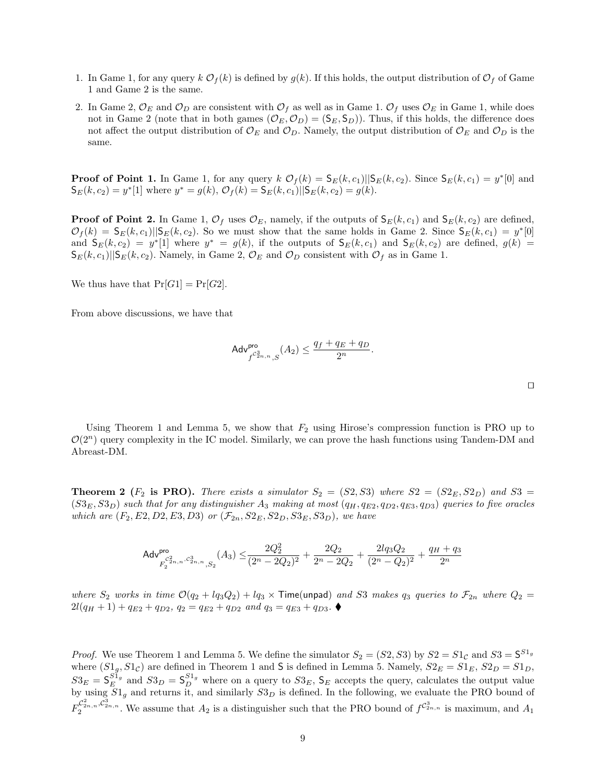- 1. In Game 1, for any query  $k \mathcal{O}_f(k)$  is defined by  $g(k)$ . If this holds, the output distribution of  $\mathcal{O}_f$  of Game 1 and Game 2 is the same.
- 2. In Game 2,  $\mathcal{O}_E$  and  $\mathcal{O}_D$  are consistent with  $\mathcal{O}_f$  as well as in Game 1.  $\mathcal{O}_f$  uses  $\mathcal{O}_E$  in Game 1, while does not in Game 2 (note that in both games  $(\mathcal{O}_E, \mathcal{O}_D) = (\mathsf{S}_E, \mathsf{S}_D)$ ). Thus, if this holds, the difference does not affect the output distribution of  $\mathcal{O}_E$  and  $\mathcal{O}_D$ . Namely, the output distribution of  $\mathcal{O}_E$  and  $\mathcal{O}_D$  is the same.

**Proof of Point 1.** In Game 1, for any query  $k \mathcal{O}_f(k) = \mathsf{S}_E(k,c_1) \leq k(k,c_2)$ . Since  $\mathsf{S}_E(k,c_1) = y^* [0]$  and  $\mathsf{S}_E(k, c_2) = y^*$ [1] where  $y^* = g(k), \mathcal{O}_f(k) = \mathsf{S}_E(k, c_1) || \mathsf{S}_E(k, c_2) = g(k).$ 

**Proof of Point 2.** In Game 1,  $\mathcal{O}_f$  uses  $\mathcal{O}_E$ , namely, if the outputs of  $S_E(k, c_1)$  and  $S_E(k, c_2)$  are defined,  $\mathcal{O}_f(k) = \mathsf{S}_E(k, c_1) \|\mathsf{S}_E(k, c_2)\|$ . So we must show that the same holds in Game 2. Since  $\mathsf{S}_E(k, c_1) = y^*[0]$ and  $S_E(k, c_2) = y^*$  [1] where  $y^* = g(k)$ , if the outputs of  $S_E(k, c_1)$  and  $S_E(k, c_2)$  are defined,  $g(k) =$  $S_E(k, c_1)$ ||S<sub>E</sub>(k, c<sub>2</sub>). Namely, in Game 2,  $\mathcal{O}_E$  and  $\mathcal{O}_D$  consistent with  $\mathcal{O}_f$  as in Game 1.

We thus have that  $Pr[G1] = Pr[G2]$ .

From above discussions, we have that

Abreast-DM.

$$
\mathsf{Adv}^{\mathsf{pro}}_{f^{\mathcal{C}^3_{2n,n}},S}(A_2) \leq \frac{q_f+q_E+q_D}{2^n}.
$$

Using Theorem 1 and Lemma 5, we show that  $F_2$  using Hirose's compression function is PRO up to  $\mathcal{O}(2^n)$  query complexity in the IC model. Similarly, we can prove the hash functions using Tandem-DM and

**Theorem 2** ( $F_2$  is PRO). There exists a simulator  $S_2 = (S2, S3)$  where  $S2 = (S2_E, S2_D)$  and  $S3 =$  $(S3<sub>E</sub>, S3<sub>D</sub>)$  such that for any distinguisher  $A_3$  making at most  $(q_H, q_{E2}, q_{D2}, q_{E3}, q_{D3})$  queries to five oracles *which are*  $(F_2, E_2, D_2, E_3, D_3)$  *or*  $(\mathcal{F}_{2n}, S_2, S_2, S_3, S_3, S_3)$ *, we have* 

$$
\mathsf{Adv}_{F_2^{c^2_{2n,n}, c^3_{2n,n}}\!, S_2}^{\mathsf{pro}}\!\left(A_3\right) \leq \!\frac{2Q_2^2}{(2^n-2Q_2)^2} + \frac{2Q_2}{2^n-2Q_2} + \frac{2lq_3Q_2}{(2^n-Q_2)^2} + \frac{q_H+q_3}{2^n}
$$

*where*  $S_2$  *works in time*  $\mathcal{O}(q_2 + l q_3 Q_2) + l q_3 \times$  **Time(unpad)** *and S3 makes*  $q_3$  *queries to*  $\mathcal{F}_{2n}$  *where*  $Q_2$  =  $2l(q_H + 1) + q_{E2} + q_{D2}, q_2 = q_{E2} + q_{D2}$  and  $q_3 = q_{E3} + q_{D3}$ .

*Proof.* We use Theorem 1 and Lemma 5. We define the simulator  $S_2 = (S2, S3)$  by  $S2 = S1_C$  and  $S3 = S^{S1_g}$ where  $(S1<sub>g</sub>, S1<sub>C</sub>)$  are defined in Theorem 1 and **S** is defined in Lemma 5. Namely,  $S2<sub>E</sub> = S1<sub>E</sub>$ ,  $S2<sub>D</sub> = S1<sub>D</sub>$ ,  $S3_E = S_E^{S1_g}$  and  $S3_D = S_D^{S1_g}$  where on a query to  $S3_E$ ,  $S_E$  accepts the query, calculates the output value by using *S*1*<sup>g</sup>* and returns it, and similarly *S*3*<sup>D</sup>* is defined. In the following, we evaluate the PRO bound of  $F_2^{\mathcal{C}_{2n,n}^2, \mathcal{C}_{2n}^3, n}$ . We assume that *A*<sub>2</sub> is a distinguisher such that the PRO bound of  $f^{\mathcal{C}_{2n,n}^3}$  is maximum, and *A*<sub>1</sub>

*ut*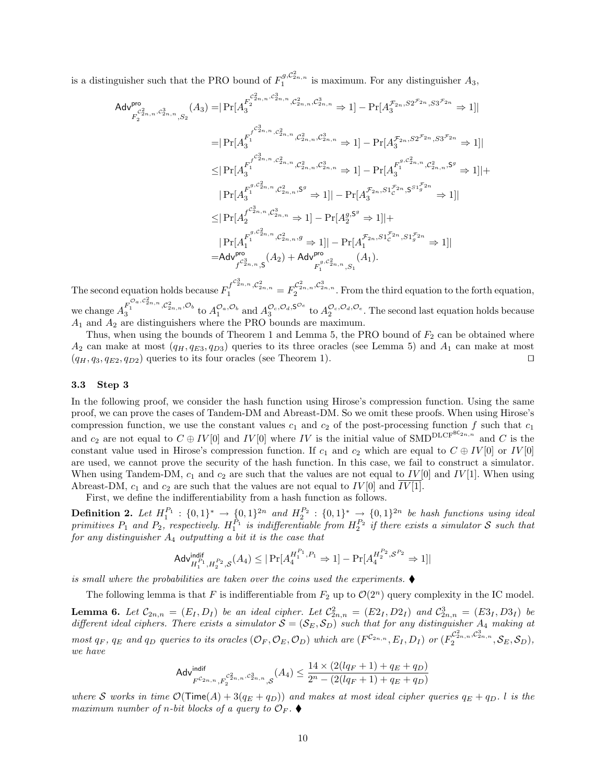is a distinguisher such that the PRO bound of  $F_1^{g,C_{2n,n}^2}$  is maximum. For any distinguisher  $A_3$ ,

$$
\begin{aligned} \mathsf{Adv}^{\mathsf{pro}}_{F_2^{c_{2n,n},c_{2n,n}^3,S_2}}(A_3)=& \big|\Pr[A_3^{F_2^{c_{2n,n}^2,c_{2n,n}^3,\mathcal{C}_{2n,n}^2,\mathcal{C}_{2n,n}^3,S_2} \Rightarrow 1] - \Pr[A_3^{\mathcal{F}_{2n},S2^{\mathcal{F}_{2n}},S3^{\mathcal{F}_{2n}}} \Rightarrow 1] \big| \\ =& \big|\Pr[A_3^{F_1^{f_2^{c_{2n,n}},\mathcal{C}_{2n,n}^2,\mathcal{C}_{2n,n}^2,\mathcal{C}_{2n,n}^3,\mathcal{C}_{2n,n}^3} \Rightarrow 1] - \Pr[A_3^{\mathcal{F}_{2n},S2^{\mathcal{F}_{2n}},S3^{\mathcal{F}_{2n}}} \Rightarrow 1] \big| \\ \leq& \big|\Pr[A_3^{F_1^{f_2^{c_{2n,n}},\mathcal{C}_{2n,n}^2,\mathcal{C}_{2n,n}^2,\mathcal{C}_{2n,n}^3} \Rightarrow 1] - \Pr[A_3^{F_1^{g,C_{2n,n}^2,S_2^{g_{2n,n}}} \Rightarrow 2] \big| + \\ & \big|\Pr[A_3^{F_1^{g,C_{2n,n}^2,\mathcal{C}_{2n,n}^2,S_2} \Rightarrow 1] - \Pr[A_3^{\mathcal{F}_{2n},S1^{\mathcal{F}_{2n}}S^{S1^{\mathcal{F}_{2n}}_3} \Rightarrow 1] \big| \\ \leq& \big|\Pr[A_2^{F_2^{g_{2n,n}},\mathcal{C}_{2n,n}^3} \Rightarrow 1] - \Pr[A_2^{g,S^g} \Rightarrow 1] | + \\ & \big|\Pr[A_1^{F_1^{g,C_{2n,n}^2,\mathcal{C}_{2n,n}^2} \Rightarrow 1] - \Pr[A_1^{F_2n,S1^{\mathcal{F}_{2n}},S1^{\mathcal{F}_{2n}}_3} \Rightarrow 1] \big| \\ =& \mathsf{Adv}^{\mathsf{pro}}_{F_2^{c_{2n,n}^3,S}}(A_2) + \mathsf{Adv}^{\mathsf{pro}}_{F_1^{c_{2n,n}^2,S_1}}(A_1). \end{aligned}
$$

The second equation holds because  $F_1^{f^{C_{2n,n}^3}, C_{2n,n}^2} = F_2^{C_{2n,n}^2, C_{2n,n}^3}$ . From the third equation to the forth equation, we change  $A_3^{F_1^{\mathcal{O}_a,c_{2n,n}^2},\mathcal{C}_{2n,n}^2,\mathcal{O}_b}$  to  $A_1^{\mathcal{O}_a,\mathcal{O}_b}$  and  $A_3^{\mathcal{O}_c,\mathcal{O}_d,\mathsf{S}^{\mathcal{O}_e}}$  to  $A_2^{\mathcal{O}_c,\mathcal{O}_d,\mathcal{O}_e}$ . The second last equation holds because *A*<sup>1</sup> and *A*<sup>2</sup> are distinguishers where the PRO bounds are maximum.

Thus, when using the bounds of Theorem 1 and Lemma 5, the PRO bound of  $F_2$  can be obtained where  $A_2$  can make at most  $(q_H, q_{E3}, q_{D3})$  queries to its three oracles (see Lemma 5) and  $A_1$  can make at most  $(q_H, q_3, q_{E2}, q_{D2})$  queries to its four oracles (see Theorem 1).  $\Box$ 

#### **3.3 Step 3**

In the following proof, we consider the hash function using Hirose's compression function. Using the same proof, we can prove the cases of Tandem-DM and Abreast-DM. So we omit these proofs. When using Hirose's compression function, we use the constant values  $c_1$  and  $c_2$  of the post-processing function  $f$  such that  $c_1$ and  $c_2$  are not equal to  $C \oplus IV[0]$  and  $IV[0]$  where  $IV$  is the initial value of SMD<sup>DLCFBC<sub>2*n,n*</sub></sup> and  $C$  is the constant value used in Hirose's compression function. If  $c_1$  and  $c_2$  which are equal to  $C \oplus IV[0]$  or  $IV[0]$ are used, we cannot prove the security of the hash function. In this case, we fail to construct a simulator. When using Tandem-DM,  $c_1$  and  $c_2$  are such that the values are not equal to  $IV[0]$  and  $IV[1]$ . When using Abreast-DM,  $c_1$  and  $c_2$  are such that the values are not equal to  $IV[0]$  and  $IV[1]$ .

First, we define the indifferentiability from a hash function as follows.

**Definition 2.** Let  $H_1^{P_1}$ :  $\{0,1\}^* \to \{0,1\}^{2n}$  and  $H_2^{P_2}$ :  $\{0,1\}^* \to \{0,1\}^{2n}$  be hash functions using ideal *primitives*  $P_1$  and  $P_2$ , respectively.  $H_1^{P_1}$  is indifferentiable from  $H_2^{P_2}$  if there exists a simulator *S* such that *for any distinguisher A*<sup>4</sup> *outputting a bit it is the case that*

$$
\mathsf{Adv}_{H_1^{P_1}, H_2^{P_2}, \mathcal{S}}^{\mathsf{indif}}(A_4) \leq |\Pr[A_4^{H_1^{P_1}, P_1} \Rightarrow 1] - \Pr[A_4^{H_2^{P_2}, \mathcal{S}^{P_2}} \Rightarrow 1]|
$$

*is small where the probabilities are taken over the coins used the experiments.* 

The following lemma is that *F* is indifferentiable from  $F_2$  up to  $\mathcal{O}(2^n)$  query complexity in the IC model.

**Lemma 6.** Let  $C_{2n,n} = (E_I, D_I)$  be an ideal cipher. Let  $C_{2n,n}^2 = (E_{Z_I}, D_{Z_I})$  and  $C_{2n,n}^3 = (E_{Z_I}, D_{Z_I})$  be *different ideal ciphers. There exists a simulator*  $S = (S_E, S_D)$  *such that for any distinguisher*  $A_4$  *making at*  $most\ q_F,\ q_E\ and\ q_D\ queries\ to\ its\ oracles\ (\mathcal{O}_F,\mathcal{O}_E,\mathcal{O}_D)\ which\ are\ (F^{\mathcal{C}_{2n,n}},E_I,D_I)\ or\ (F_2^{\mathcal{C}_{2n,n}^2,\mathcal{C}_{2n,n}^3},\mathcal{S}_E,\mathcal{S}_D),$ *we have*

$$
\mathsf{Adv}^{\mathsf{indif}}_{F^{C_{2n, n}, F_2^{C_{2n, n}}; c_{2n, n}^3, \mathcal{S}}}(A_4) \leq \frac{14 \times (2(lq_F+1) + q_E + q_D)}{2^n - (2(lq_F+1) + q_E + q_D)}
$$

*where S works* in time  $\mathcal{O}(\text{Time}(A) + 3(q_E + q_D))$  *and makes at most ideal cipher queries*  $q_E + q_D$ *. l is the maximum number of n-bit blocks of a query to*  $\mathcal{O}_F$ .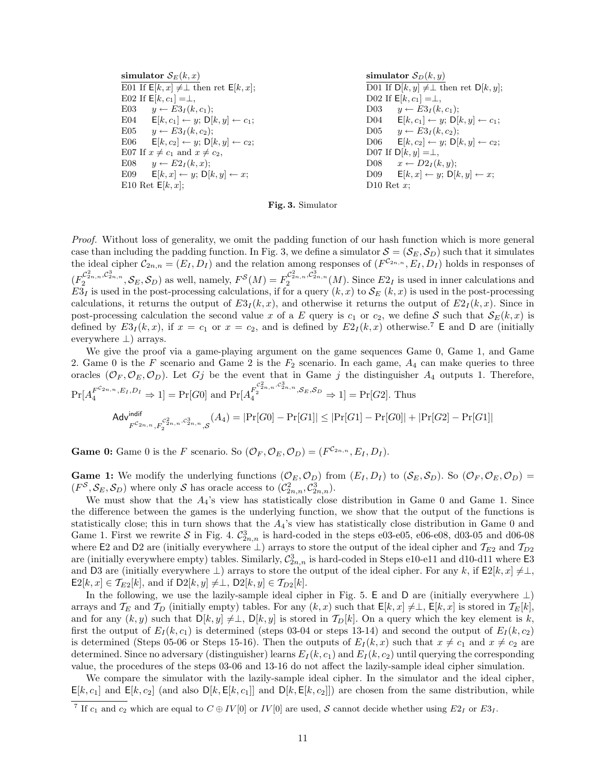simulator  $S_E(k, x)$ E01 If  $E[k, x] \neq \bot$  then ret  $E[k, x]$ ; E02 If  $E[k, c_1] = \perp$ , E03  $y \leftarrow E3_I(k, c_1);$ E04  $\mathsf{E}[k, c_1] \leftarrow y; \mathsf{D}[k, y] \leftarrow c_1;$ E05  $y \leftarrow E3_I(k, c_2);$ E06  $\mathsf{E}[k, c_2] \leftarrow y; \mathsf{D}[k, y] \leftarrow c_2;$ E07 If  $x \neq c_1$  and  $x \neq c_2$ , E08  $y \leftarrow E2_I(k, x);$ E09  $E[k, x] \leftarrow y$ ;  $D[k, y] \leftarrow x$ ; E10 Ret  $E[k, x]$ ;

**simulator** 
$$
\mathcal{S}_D(k, y)
$$
 \nD01 If  $D[k, y] \neq \perp$  then ret  $D[k, y];$  \nD02 If  $E[k, c_1] = \perp$ , \nD03  $y \leftarrow E3I(k, c_1);$  \nD04  $E[k, c_1] \leftarrow y; D[k, y] \leftarrow c_1;$  \nD05  $y \leftarrow E3I(k, c_2);$  \nD06  $E[k, c_2] \leftarrow y; D[k, y] \leftarrow c_2;$  \nD07 If  $D[k, y] = \perp$ , \nD08  $x \leftarrow D2I(k, y);$  \nD09  $E[k, x] \leftarrow y; D[k, y] \leftarrow x;$  \nD10 Ret  $x;$ 

**Fig. 3.** Simulator

*Proof.* Without loss of generality, we omit the padding function of our hash function which is more general case than including the padding function. In Fig. 3, we define a simulator  $S = (S_E, S_D)$  such that it simulates the ideal cipher  $C_{2n,n} = (E_I, D_I)$  and the relation among responses of  $(F^{C_{2n,n}}, E_I, D_I)$  holds in responses of  $(F_2^{\mathcal{C}_{2n,n}^2, \mathcal{C}_{2n,n}^3}, \mathcal{S}_E, \mathcal{S}_D)$  as well, namely,  $F^{\mathcal{S}}(M) = F_2^{\mathcal{C}_{2n,n}^2, \mathcal{C}_{2n,n}^3}$  (*M*). Since  $E2_I$  is used in inner calculations and  $E3<sub>I</sub>$  is used in the post-processing calculations, if for a query  $(k, x)$  to  $S<sub>E</sub>$   $(k, x)$  is used in the post-processing calculations, it returns the output of  $E3_I(k, x)$ , and otherwise it returns the output of  $E2_I(k, x)$ . Since in post-processing calculation the second value *x* of a *E* query is  $c_1$  or  $c_2$ , we define *S* such that  $S_E(k, x)$  is defined by  $E3_I(k, x)$ , if  $x = c_1$  or  $x = c_2$ , and is defined by  $E2_I(k, x)$  otherwise.<sup>7</sup> E and D are (initially everywhere *⊥*) arrays.

We give the proof via a game-playing argument on the game sequences Game 0, Game 1, and Game 2. Game 0 is the *F* scenario and Game 2 is the *F*<sup>2</sup> scenario. In each game, *A*<sup>4</sup> can make queries to three oracles  $(\mathcal{O}_F, \mathcal{O}_E, \mathcal{O}_D)$ . Let *Gj* be the event that in Game *j* the distinguisher  $A_4$  outputs 1. Therefore,  $Pr[A_4^{F^{C_{2n,n}}, E_I, D_I} \Rightarrow 1] = Pr[G0]$  and  $Pr[A_4^{F_2^{C_{2n,n}^2, C_{2n,n}^3}, S_E, S_D} \Rightarrow 1] = Pr[G2]$ . Thus

$$
\mathsf{Adv}^{\mathsf{indif}}_{F^{C_{2n},n}, F_2^{C_{2n}^2, n, c_{2n}^3}, \mathcal{S}}(A_4) = |\Pr[G0] - \Pr[G1]| \leq |\Pr[G1] - \Pr[G0]| + |\Pr[G2] - \Pr[G1]|
$$

**Game 0:** Game 0 is the *F* scenario. So  $(\mathcal{O}_F, \mathcal{O}_E, \mathcal{O}_D) = (F^{\mathcal{C}_{2n,n}}, E_I, D_I)$ .

**Game 1:** We modify the underlying functions  $(\mathcal{O}_E, \mathcal{O}_D)$  from  $(E_I, D_I)$  to  $(\mathcal{S}_E, \mathcal{S}_D)$ . So  $(\mathcal{O}_F, \mathcal{O}_E, \mathcal{O}_D)$  $(F^{\mathcal{S}}, \mathcal{S}_{E}, \mathcal{S}_{D})$  where only  $\mathcal{S}$  has oracle access to  $(\mathcal{C}_{2n,n}^2, \mathcal{C}_{2n,n}^3)$ .

We must show that the  $A_4$ 's view has statistically close distribution in Game 0 and Game 1. Since the difference between the games is the underlying function, we show that the output of the functions is statistically close; this in turn shows that the *A*4's view has statistically close distribution in Game 0 and Game 1. First we rewrite S in Fig. 4.  $\mathcal{C}_{2n,n}^3$  is hard-coded in the steps e03-e05, e06-e08, d03-05 and d06-08 where E2 and D2 are (initially everywhere *⊥*) arrays to store the output of the ideal cipher and *TE*<sup>2</sup> and *TD*<sup>2</sup> are (initially everywhere empty) tables. Similarly,  $\mathcal{C}_{2n,n}^3$  is hard-coded in Steps e10-e11 and d10-d11 where  $\textsf{E}3$ and D3 are (initially everywhere  $\perp$ ) arrays to store the output of the ideal cipher. For any k, if  $E2[k, x] \neq \perp$ ,  $E2[k, x] \in \mathcal{T}_{E2}[k]$ , and if  $D2[k, y] \neq \perp$ ,  $D2[k, y] \in \mathcal{T}_{D2}[k]$ .

In the following, we use the lazily-sample ideal cipher in Fig. 5. E and D are (initially everywhere *⊥*) arrays and  $\mathcal{T}_E$  and  $\mathcal{T}_D$  (initially empty) tables. For any  $(k, x)$  such that  $\mathsf{E}[k, x] \neq \perp$ ,  $\mathsf{E}[k, x]$  is stored in  $\mathcal{T}_E[k]$ , and for any  $(k, y)$  such that  $D[k, y] \neq \perp$ ,  $D[k, y]$  is stored in  $\mathcal{T}_D[k]$ . On a query which the key element is *k*, first the output of  $E_I(k, c_1)$  is determined (steps 03-04 or steps 13-14) and second the output of  $E_I(k, c_2)$ is determined (Steps 05-06 or Steps 15-16). Then the outputs of  $E_I(k, x)$  such that  $x \neq c_1$  and  $x \neq c_2$  are determined. Since no adversary (distinguisher) learns  $E_I(k, c_1)$  and  $E_I(k, c_2)$  until querying the corresponding value, the procedures of the steps 03-06 and 13-16 do not affect the lazily-sample ideal cipher simulation.

We compare the simulator with the lazily-sample ideal cipher. In the simulator and the ideal cipher,  $E[k, c_1]$  and  $E[k, c_2]$  (and also  $D[k, E[k, c_1]]$  and  $D[k, E[k, c_2]])$  are chosen from the same distribution, while

<sup>&</sup>lt;sup>7</sup> If  $c_1$  and  $c_2$  which are equal to  $C \oplus IV[0]$  or  $IV[0]$  are used, *S* cannot decide whether using  $E2_I$  or  $E3_I$ .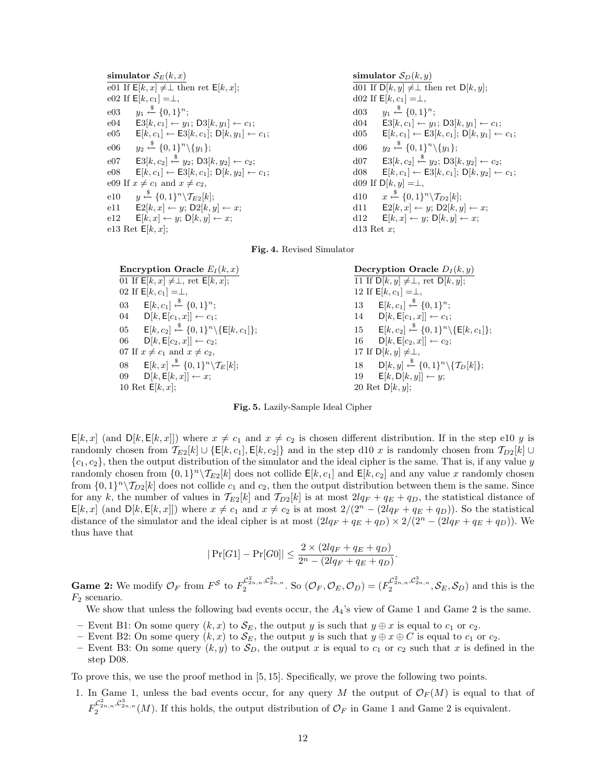**simulator**  $S_E(k, x)$  $\overline{e01}$  If  $E[k, x] ≠ ∥$  then ret  $E[k, x]$ ;  $e02$  If  $E[k, c_1] = \perp$ ,  $e03$ \$*←− {*0*,* 1*} n* ; e04 **E**3[ $k, c_1$ ] ←  $y_1$ ; D3[ $k, y_1$ ] ←  $c_1$ ; e05 **E**[ $k, c_1$ ] ← **E**3[ $k, c_1$ ]; **D**[ $k, y_1$ ] ←  $c_1$ ;  $e06$ \$*←− {*0*,* 1*} n \{y*1*}*;  $e^{07}$  **E**3[k, c<sub>2</sub>]  $\stackrel{\$}{\leftarrow} y_2$ ; D<sub>3</sub>[k, y<sub>2</sub>] ← c<sub>2</sub>;  $e08 \t E[k, c_1] \leftarrow E3[k, c_1]; D[k, y_2] \leftarrow c_1;$ e09 If  $x \neq c_1$  and  $x \neq c_2$ , e10 *y* \$*←− {*0*,* 1*} n \T<sup>E</sup>*2[*k*]; e11  $E2[k, x] \leftarrow y$ ; D2 $[k, y] \leftarrow x$ ;  $e12 \t E[k, x] \leftarrow y; D[k, y] \leftarrow x;$ e13 Ret  $E[k, x]$ ;

 $S_D(k, y)$  $\overline{d01}$  If  $D[k, y] \neq \perp$  then ret  $D[k, y]$ ; d02 If  $E[k, c_1] = \perp$ , d03 *y*<sup>1</sup> \$*←− {*0*,* 1*} n* ; d04  $\textsf{E3}[k, c_1] \leftarrow y_1; \textsf{D3}[k, y_1] \leftarrow c_1;$ d05 **E**[ $k, c_1$ ] ← **E**3[ $k, c_1$ ]; **D**[ $k, y_1$ ] ←  $c_1$ ; d06 *y*<sup>2</sup> \$*←− {*0*,* 1*} n \{y*1*}*; d07 **E**3[ $k, c_2$ ]  $\stackrel{\$}{\leftarrow} y_2$ ; D3[ $k, y_2$ ] ←  $c_2$ ; d08 **E**[ $k, c_1$ ] ← **E**3[ $k, c_1$ ]; **D**[ $k, y_2$ ] ←  $c_1$ ; d09 If  $D[k, y] = \perp$ , d10 *x* \$*←− {*0*,* 1*} n \T<sup>D</sup>*2[*k*]; d11  $E2[k, x] \leftarrow y$ ;  $D2[k, y] \leftarrow x$ ; d12  $E[k, x] \leftarrow y$ ;  $D[k, y] \leftarrow x$ ; d13 Ret *x*;

## **Fig. 4.** Revised Simulator

| Encryption Oracle $E_I(k,x)$                                            | Decryption Oracle $D_I(k, y)$                                           |
|-------------------------------------------------------------------------|-------------------------------------------------------------------------|
| 01 If $\overline{\mathsf{E}[k,x]} \neq \perp$ , ret $\mathsf{E}[k,x]$ ; | $\overline{11 \text{ If } D[k, y] \neq \perp}$ , ret $D[k, y]$ ;        |
| 02 If $E[k, c_1] = \perp$ ,                                             | 12 If $E[k, c_1] = \perp$ ,                                             |
| 03 $E[k, c_1] \xleftarrow{\$} \{0, 1\}^n$ ;                             | 13 $E[k, c_1] \xleftarrow{\$} \{0, 1\}^n$ ;                             |
| 04 $D[k, E[c_1, x]] \leftarrow c_1;$                                    | 14 $D[k, E[c_1, x]] \leftarrow c_1;$                                    |
| 05 $E[k, c_2] \xleftarrow{\$} \{0, 1\}^n \setminus \{E[k, c_1]\};$      | $E[k, c_2] \xleftarrow{\$} \{0, 1\}^n \setminus \{E[k, c_1]\};$<br>15   |
| 06<br>$D[k, E[c_2, x]] \leftarrow c_2;$                                 | $D[k, E[c_2, x]] \leftarrow c_2;$<br>$16\,$                             |
| 07 If $x \neq c_1$ and $x \neq c_2$ ,                                   | 17 If $D[k, y] \neq \perp$ ,                                            |
| 08 $E[k, x] \xleftarrow{\$} \{0, 1\}^n \backslash \mathcal{T}_E[k];$    | 18 $D[k, y] \xleftarrow{\$} \{0, 1\}^n \setminus \{\mathcal{T}_D[k]\};$ |
| 09 $D[k, E[k, x]] \leftarrow x;$                                        | 19 $\mathsf{E}[k,\mathsf{D}[k,y]] \leftarrow y;$                        |
| 10 Ret $E[k, x]$ ;                                                      | 20 Ret $D[k, y]$ ;                                                      |
|                                                                         |                                                                         |

**Fig. 5.** Lazily-Sample Ideal Cipher

 $E[k, x]$  (and  $D[k, E[k, x]]$ ) where  $x \neq c_1$  and  $x \neq c_2$  is chosen different distribution. If in the step e10 *y* is randomly chosen from  $\mathcal{T}_{E2}[k] \cup \{E[k,c_1], E[k,c_2]\}$  and in the step d10 *x* is randomly chosen from  $\mathcal{T}_{D2}[k] \cup$ *{c*1*, c*2*}*, then the output distribution of the simulator and the ideal cipher is the same. That is, if any value *y* randomly chosen from  $\{0,1\}^n \setminus \mathcal{T}_{E2}[k]$  does not collide  $\mathsf{E}[k,c_1]$  and  $\mathsf{E}[k,c_2]$  and any value *x* randomly chosen from  $\{0,1\}^n \setminus \mathcal{T}_{D2}[k]$  does not collide  $c_1$  and  $c_2$ , then the output distribution between them is the same. Since for any *k*, the number of values in  $T_{E2}[k]$  and  $T_{D2}[k]$  is at most  $2lq_F + q_E + q_D$ , the statistical distance of  $E[k, x]$  (and  $D[k, E[k, x]]$ ) where  $x \neq c_1$  and  $x \neq c_2$  is at most  $2/(2^n - (2lq_F + q_E + q_D))$ . So the statistical distance of the simulator and the ideal cipher is at most  $(2lq_F + q_E + q_D) \times 2/(2^n - (2lq_F + q_E + q_D))$ . We thus have that

$$
|\Pr[G1] - \Pr[G0]| \le \frac{2 \times (2lq_F + q_E + q_D)}{2^n - (2lq_F + q_E + q_D)}.
$$

**Game 2:** We modify  $\mathcal{O}_F$  from  $F^{\mathcal{S}}$  to  $F_2^{\mathcal{C}_{2n,n}^2, \mathcal{C}_{2n,n}^3}$ . So  $(\mathcal{O}_F, \mathcal{O}_E, \mathcal{O}_D) = (F_2^{\mathcal{C}_{2n,n}^2, \mathcal{C}_{2n,n}^3}, \mathcal{S}_E, \mathcal{S}_D)$  and this is the *F*<sup>2</sup> scenario.

We show that unless the following bad events occur, the *A*4's view of Game 1 and Game 2 is the same.

- $−$  Event B1: On some query  $(k, x)$  to  $\mathcal{S}_E$ , the output *y* is such that  $y \oplus x$  is equal to  $c_1$  or  $c_2$ .
- $−$  Event B2: On some query  $(k, x)$  to  $\mathcal{S}_E$ , the output *y* is such that  $y \oplus x \oplus C$  is equal to  $c_1$  or  $c_2$ .
- Event B3: On some query  $(k, y)$  to  $S_D$ , the output x is equal to  $c_1$  or  $c_2$  such that x is defined in the step D08.

To prove this, we use the proof method in [5, 15]. Specifically, we prove the following two points.

1. In Game 1, unless the bad events occur, for any query *M* the output of  $\mathcal{O}_F(M)$  is equal to that of  $F_2^{\mathcal{C}_{2n,n}^2, \mathcal{C}_{2n}^3, n}(M)$ . If this holds, the output distribution of  $\mathcal{O}_F$  in Game 1 and Game 2 is equivalent.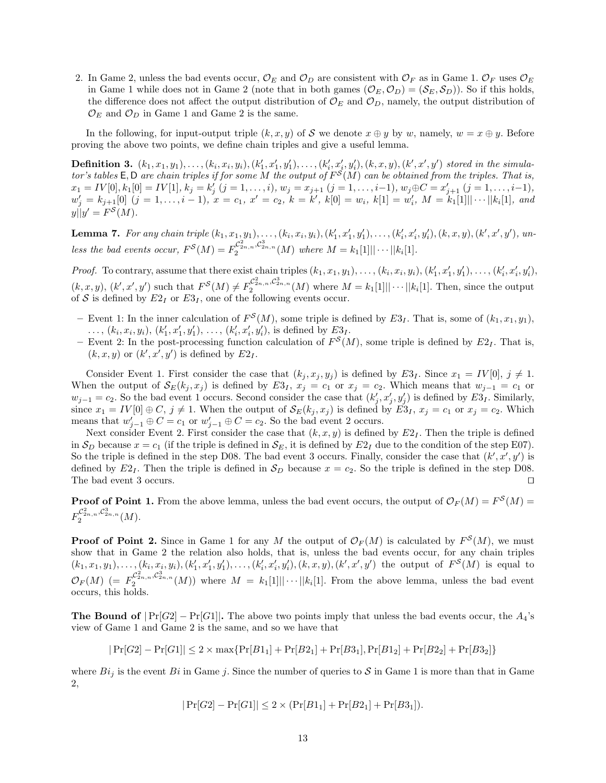2. In Game 2, unless the bad events occur,  $\mathcal{O}_E$  and  $\mathcal{O}_D$  are consistent with  $\mathcal{O}_F$  as in Game 1.  $\mathcal{O}_F$  uses  $\mathcal{O}_E$ in Game 1 while does not in Game 2 (note that in both games  $(\mathcal{O}_E, \mathcal{O}_D) = (\mathcal{S}_E, \mathcal{S}_D)$ ). So if this holds, the difference does not affect the output distribution of  $\mathcal{O}_E$  and  $\mathcal{O}_D$ , namely, the output distribution of  $\mathcal{O}_E$  and  $\mathcal{O}_D$  in Game 1 and Game 2 is the same.

In the following, for input-output triple  $(k, x, y)$  of *S* we denote  $x \oplus y$  by *w*, namely,  $w = x \oplus y$ . Before proving the above two points, we define chain triples and give a useful lemma.

**Definition 3.**  $(k_1, x_1, y_1), \ldots, (k_i, x_i, y_i), (k'_1, x'_1, y'_1), \ldots, (k'_i, x'_i, y'_i), (k, x, y), (k', x', y')$  stored in the simula*tor's tables*  $E, D$  *are chain triples if for some*  $M$  *the output of*  $F^S(M)$  *can be obtained from the triples. That is,*  $x_1 = IV[0], k_1[0] = IV[1], k_j = k'_j$   $(j = 1, ..., i), w_j = x_{j+1}$   $(j = 1, ..., i-1), w_j \oplus C = x'_{j+1}$   $(j = 1, ..., i-1),$  $w'_{j} = k_{j+1}[0]$   $(j = 1, ..., i-1)$ ,  $x = c_1$ ,  $x' = c_2$ ,  $k = k'$ ,  $k[0] = w_i$ ,  $k[1] = w'_i$ ,  $M = k_1[1] \cdots ||k_i[1]$ , and  $y||y' = F^S(M)$ .

**Lemma 7.** For any chain triple  $(k_1, x_1, y_1), \ldots, (k_i, x_i, y_i), (k'_1, x'_1, y'_1), \ldots, (k'_i, x'_i, y'_i), (k, x, y), (k', x', y'),$  un*less the bad events occur,*  $F^{S}(M) = F_2^{\mathcal{C}_{2n,n}^2, \mathcal{C}_{2n}^3}$  *(M) where*  $M = k_1[1] \cdots |k_i[1]$ *.* 

*Proof.* To contrary, assume that there exist chain triples  $(k_1, x_1, y_1), \ldots, (k_i, x_i, y_i), (k'_1, x'_1, y'_1), \ldots, (k'_i, x'_i, y'_i)$ ,  $(k, x, y)$ ,  $(k', x', y')$  such that  $F^{\mathcal{S}}(M) \neq F_2^{\mathcal{C}^2_{2n,n}, \mathcal{C}^3_{2n,n}}(M)$  where  $M = k_1[1] \cdots ||k_i[1]$ . Then, since the output of  $S$  is defined by  $E2_I$  or  $E3_I$ , one of the following events occur.

- $-$  Event 1: In the inner calculation of  $F^S(M)$ , some triple is defined by  $E3_I$ . That is, some of  $(k_1, x_1, y_1)$ , ...,  $(k_i, x_i, y_i)$ ,  $(k'_1, x'_1, y'_1)$ , ...,  $(k'_i, x'_i, y'_i)$ , is defined by  $E3_I$ .
- $-$  Event 2: In the post-processing function calculation of  $F^S(M)$ , some triple is defined by  $E2_I$ . That is,  $(k, x, y)$  or  $(k', x', y')$  is defined by  $E2_I$ .

Consider Event 1. First consider the case that  $(k_j, x_j, y_j)$  is defined by  $E3_I$ . Since  $x_1 = IV[0], j \neq 1$ . When the output of  $\mathcal{S}_E(k_i, x_i)$  is defined by  $E3_I$ ,  $x_i = c_1$  or  $x_i = c_2$ . Which means that  $w_{i-1} = c_1$  or  $w_{j-1} = c_2$ . So the bad event 1 occurs. Second consider the case that  $(k'_j, x'_j, y'_j)$  is defined by  $E3_I$ . Similarly, since  $x_1 = IV[0] \oplus C$ ,  $j \neq 1$ . When the output of  $\mathcal{S}_E(k_j, x_j)$  is defined by  $E3_I$ ,  $x_j = c_1$  or  $x_j = c_2$ . Which means that  $w'_{j-1} \oplus C = c_1$  or  $w'_{j-1} \oplus C = c_2$ . So the bad event 2 occurs.

Next consider Event 2. First consider the case that  $(k, x, y)$  is defined by  $E2<sub>I</sub>$ . Then the triple is defined in  $S_D$  because  $x = c_1$  (if the triple is defined in  $S_E$ , it is defined by  $E2_I$  due to the condition of the step E07). So the triple is defined in the step D08. The bad event 3 occurs. Finally, consider the case that  $(k', x', y')$  is defined by  $E2_I$ . Then the triple is defined in  $S_D$  because  $x = c_2$ . So the triple is defined in the step D08. The bad event 3 occurs. □

**Proof of Point 1.** From the above lemma, unless the bad event occurs, the output of  $\mathcal{O}_F(M) = F^S(M)$  $F_{2}^{\mathcal{C}_{2n,n}^2, \mathcal{C}_{2n,n}^3} (M).$ 

**Proof of Point 2.** Since in Game 1 for any *M* the output of  $\mathcal{O}_F(M)$  is calculated by  $F^S(M)$ , we must show that in Game 2 the relation also holds, that is, unless the bad events occur, for any chain triples  $(k_1, x_1, y_1), \ldots, (k_i, x_i, y_i), (k'_1, x'_1, y'_1), \ldots, (k'_i, x'_i, y'_i), (k, x, y), (k', x', y')$  the output of  $F^S(M)$  is equal to  $\mathcal{O}_F(M)$  (=  $F_2^{\mathcal{C}_{2n,n}^2, \mathcal{C}_{2n,n}^3}$  (*M*)) where  $M = k_1[1] \cdots ||k_i[1]$ . From the above lemma, unless the bad event occurs, this holds.

**The Bound of**  $|\Pr[G2] - \Pr[G1]|$ . The above two points imply that unless the bad events occur, the  $A_4$ 's view of Game 1 and Game 2 is the same, and so we have that

$$
|\Pr[G2]-\Pr[G1]| \leq 2 \times \max\{\Pr[B1_1] + \Pr[B2_1] + \Pr[B3_1], \Pr[B1_2] + \Pr[B2_2] + \Pr[B3_2]\}
$$

where  $Bi_j$  is the event  $Bi$  in Game *j*. Since the number of queries to  $S$  in Game 1 is more than that in Game 2,

$$
|\Pr[G2] - \Pr[G1]| \le 2 \times (\Pr[B1_1] + \Pr[B2_1] + \Pr[B3_1]).
$$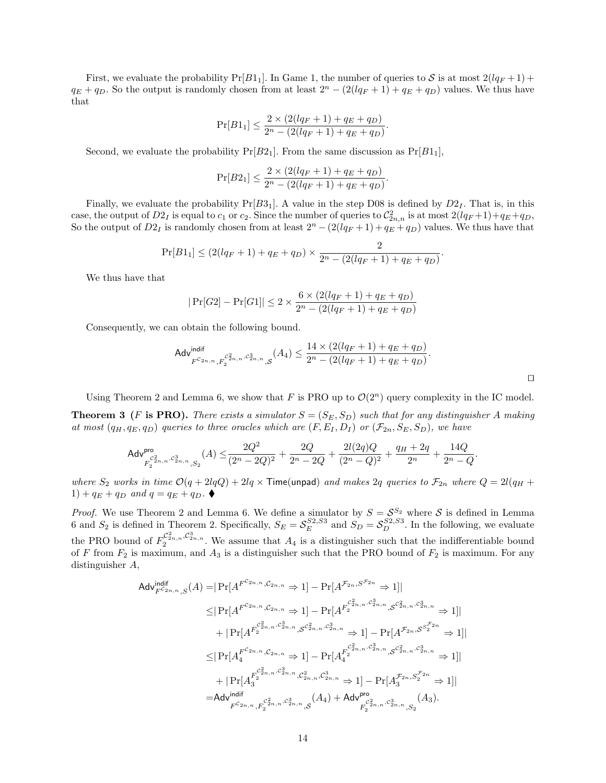First, we evaluate the probability  $Pr[B1_1]$ . In Game 1, the number of queries to *S* is at most  $2(lq_F+1)$  +  $q_E + q_D$ . So the output is randomly chosen from at least  $2^n - (2(lq_F + 1) + q_E + q_D)$  values. We thus have that

$$
\Pr[B1_1] \le \frac{2 \times (2(lq_F + 1) + q_E + q_D)}{2^n - (2(lq_F + 1) + q_E + q_D)}.
$$

Second, we evaluate the probability  $Pr[B2_1]$ . From the same discussion as  $Pr[B1_1]$ ,

$$
\Pr[B2_1] \le \frac{2 \times (2(lq_F + 1) + q_E + q_D)}{2^n - (2(lq_F + 1) + q_E + q_D)}
$$

Finally, we evaluate the probability  $Pr[B3_1]$ . A value in the step D08 is defined by  $D2<sub>I</sub>$ . That is, in this case, the output of  $D2_I$  is equal to  $c_1$  or  $c_2$ . Since the number of queries to  $\mathcal{C}_{2n,n}^2$  is at most  $2(lq_F+1)+q_E+q_D$ , So the output of  $D2_I$  is randomly chosen from at least  $2^n - (2(lq_F + 1) + q_E + q_D)$  values. We thus have that

$$
\Pr[B1_1] \le (2(lq_F+1) + q_E + q_D) \times \frac{2}{2^n - (2(lq_F+1) + q_E + q_D)}.
$$

We thus have that

$$
|\Pr[G2] - \Pr[G1]| \le 2 \times \frac{6 \times (2(lq_F + 1) + q_E + q_D)}{2^n - (2(lq_F + 1) + q_E + q_D)}
$$

Consequently, we can obtain the following bound.

$$
\mathsf{Adv}_{F^{C_{2n,n}}, F_2^{C_{2n,n}^2, C_{2n,n}^3}, S}^{\text{indif}}(A_4) \leq \frac{14 \times (2(lq_F+1) + q_E + q_D)}{2^n - (2(lq_F+1) + q_E + q_D)}.
$$

*.*

*ut*

*.*

Using Theorem 2 and Lemma 6, we show that *F* is PRO up to  $\mathcal{O}(2^n)$  query complexity in the IC model.

**Theorem 3** (*F* is PRO). There exists a simulator  $S = (S_E, S_D)$  such that for any distinguisher A making at most  $(q_H, q_E, q_D)$  queries to three oracles which are  $(F, E_I, D_I)$  or  $(\mathcal{F}_{2n}, S_E, S_D)$ , we have

$$
\mathsf{Adv}_{F_2^{c_{2n,n}^2, c_{2n,n}^3, S_2}^{\text{pro}}}(A) \leq \frac{2Q^2}{(2^n-2Q)^2} + \frac{2Q}{2^n-2Q} + \frac{2l(2q)Q}{(2^n-Q)^2} + \frac{q_H+2q}{2^n} + \frac{14Q}{2^n-Q}
$$

where  $S_2$  works in time  $O(q+2lqQ)+2lq \times$  Time(unpad) and makes 2q queries to  $\mathcal{F}_{2n}$  where  $Q=2l(q_H +$  $1) + q_E + q_D$  and  $q = q_E + q_D$ .

*Proof.* We use Theorem 2 and Lemma 6. We define a simulator by  $S = S^{S_2}$  where S is defined in Lemma 6 and  $S_2$  is defined in Theorem 2. Specifically,  $S_E = S_E^{S2,S3}$  and  $S_D = S_D^{S2,S3}$ . In the following, we evaluate the PRO bound of  $F_2^{\mathcal{C}_{2n,n}^2,\mathcal{C}_{2n,n}^3}$ . We assume that  $A_4$  is a distinguisher such that the indifferentiable bound of *F* from  $F_2$  is maximum, and  $A_3$  is a distinguisher such that the PRO bound of  $F_2$  is maximum. For any distinguisher *A*,

$$
Adv_{F^{C_{2n,n}},S}^{\text{indif}}(A) = | \Pr[A^{F^{C_{2n,n}},C_{2n,n}} \Rightarrow 1] - \Pr[A^{F_{2n},S^{F_{2n}}} \Rightarrow 1] |
$$
  
\n
$$
\leq | \Pr[A^{F^{C_{2n,n}},C_{2n,n}} \Rightarrow 1] - \Pr[A^{F_{2}^{C_{2n,n},C_{2n,n}^{3}},S^{C_{2n,n}^{2},C_{2n,n}^{3},P}} \Rightarrow 1] |
$$
  
\n
$$
+ | \Pr[A^{F_{2}^{C_{2n,n},C_{2n,n}^{3}},S^{C_{2n,n}^{2},C_{2n,n}^{3},P}} \Rightarrow 1] - \Pr[A^{F_{2n},S^{S_{2}^{F_{2n}}}} \Rightarrow 1] |
$$
  
\n
$$
\leq | \Pr[A_{4}^{F^{C_{2n,n},C_{2n,n}} \Rightarrow 1] - \Pr[A_{4}^{F_{2n,n}^{C_{2n,n}^{3},C_{2n,n}^{3},C_{2n,n}^{3},C_{2n,n}^{3},P}} \Rightarrow 1] |
$$
  
\n
$$
+ | \Pr[A_{3}^{F^{C_{2n,n},C_{2n,n}^{3},C_{2n,n}^{3},C_{2n,n}^{3},P}} \Rightarrow 1] - \Pr[A_{3}^{F_{2n},S_{2}^{F_{2n}} \Rightarrow 1] |
$$
  
\n
$$
= Advindif F^{C_{2n,n},F_{2}^{C_{2n,n}^{3},C_{2n,n}^{3},S}}(A_{4}) + Advpro_{F_{2}^{C_{2n,n},C_{2n,n}^{3},S_{2}}}(A_{3}).
$$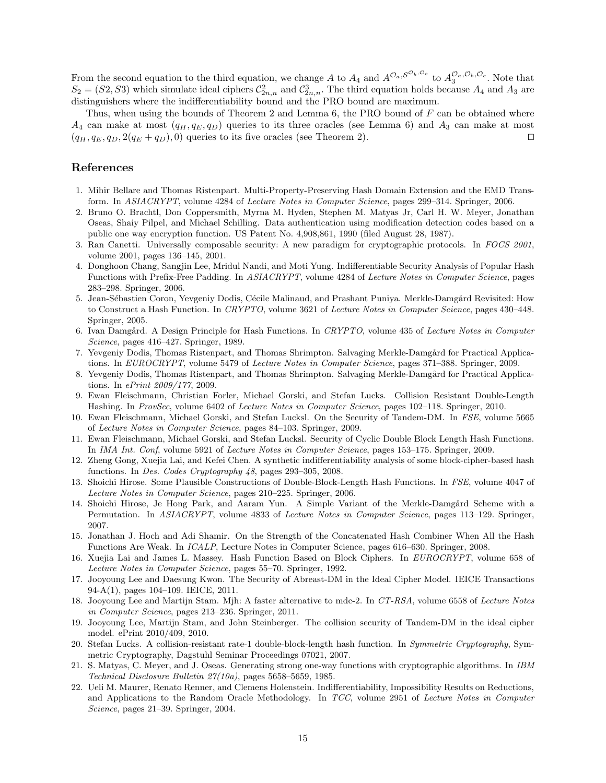From the second equation to the third equation, we change A to  $A_4$  and  $A^{\mathcal{O}_a, \mathcal{S}^{\mathcal{O}_b, \mathcal{O}_c}}$  to  $A_3^{\mathcal{O}_a, \mathcal{O}_b, \mathcal{O}_c}$ . Note that  $S_2 = (S2, S3)$  which simulate ideal ciphers  $C_{2n,n}^2$  and  $C_{2n,n}^3$ . The third equation holds because  $A_4$  and  $A_3$  are distinguishers where the indifferentiability bound and the PRO bound are maximum.

Thus, when using the bounds of Theorem 2 and Lemma 6, the PRO bound of *F* can be obtained where  $A_4$  can make at most  $(q_H, q_E, q_D)$  queries to its three oracles (see Lemma 6) and  $A_3$  can make at most  $(q_H, q_E, q_D, 2(q_E + q_D), 0)$  queries to its five oracles (see Theorem 2).

## **References**

- 1. Mihir Bellare and Thomas Ristenpart. Multi-Property-Preserving Hash Domain Extension and the EMD Transform. In *ASIACRYPT*, volume 4284 of *Lecture Notes in Computer Science*, pages 299–314. Springer, 2006.
- 2. Bruno O. Brachtl, Don Coppersmith, Myrna M. Hyden, Stephen M. Matyas Jr, Carl H. W. Meyer, Jonathan Oseas, Shaiy Pilpel, and Michael Schilling. Data authentication using modification detection codes based on a public one way encryption function. US Patent No. 4,908,861, 1990 (filed August 28, 1987).
- 3. Ran Canetti. Universally composable security: A new paradigm for cryptographic protocols. In *FOCS 2001*, volume 2001, pages 136–145, 2001.
- 4. Donghoon Chang, Sangjin Lee, Mridul Nandi, and Moti Yung. Indifferentiable Security Analysis of Popular Hash Functions with Prefix-Free Padding. In *ASIACRYPT*, volume 4284 of *Lecture Notes in Computer Science*, pages 283–298. Springer, 2006.
- 5. Jean-Sébastien Coron, Yevgeniy Dodis, Cécile Malinaud, and Prashant Puniya. Merkle-Damgård Revisited: How to Construct a Hash Function. In *CRYPTO*, volume 3621 of *Lecture Notes in Computer Science*, pages 430–448. Springer, 2005.
- 6. Ivan Damgård. A Design Principle for Hash Functions. In *CRYPTO*, volume 435 of *Lecture Notes in Computer Science*, pages 416–427. Springer, 1989.
- 7. Yevgeniy Dodis, Thomas Ristenpart, and Thomas Shrimpton. Salvaging Merkle-Damgård for Practical Applications. In *EUROCRYPT*, volume 5479 of *Lecture Notes in Computer Science*, pages 371–388. Springer, 2009.
- 8. Yevgeniy Dodis, Thomas Ristenpart, and Thomas Shrimpton. Salvaging Merkle-Damgård for Practical Applications. In *ePrint 2009/177*, 2009.
- 9. Ewan Fleischmann, Christian Forler, Michael Gorski, and Stefan Lucks. Collision Resistant Double-Length Hashing. In *ProvSec*, volume 6402 of *Lecture Notes in Computer Science*, pages 102–118. Springer, 2010.
- 10. Ewan Fleischmann, Michael Gorski, and Stefan Lucksl. On the Security of Tandem-DM. In *FSE*, volume 5665 of *Lecture Notes in Computer Science*, pages 84–103. Springer, 2009.
- 11. Ewan Fleischmann, Michael Gorski, and Stefan Lucksl. Security of Cyclic Double Block Length Hash Functions. In *IMA Int. Conf*, volume 5921 of *Lecture Notes in Computer Science*, pages 153–175. Springer, 2009.
- 12. Zheng Gong, Xuejia Lai, and Kefei Chen. A synthetic indifferentiability analysis of some block-cipher-based hash functions. In *Des. Codes Cryptography 48*, pages 293–305, 2008.
- 13. Shoichi Hirose. Some Plausible Constructions of Double-Block-Length Hash Functions. In *FSE*, volume 4047 of *Lecture Notes in Computer Science*, pages 210–225. Springer, 2006.
- 14. Shoichi Hirose, Je Hong Park, and Aaram Yun. A Simple Variant of the Merkle-Damgård Scheme with a Permutation. In *ASIACRYPT*, volume 4833 of *Lecture Notes in Computer Science*, pages 113–129. Springer, 2007.
- 15. Jonathan J. Hoch and Adi Shamir. On the Strength of the Concatenated Hash Combiner When All the Hash Functions Are Weak. In *ICALP*, Lecture Notes in Computer Science, pages 616–630. Springer, 2008.
- 16. Xuejia Lai and James L. Massey. Hash Function Based on Block Ciphers. In *EUROCRYPT*, volume 658 of *Lecture Notes in Computer Science*, pages 55–70. Springer, 1992.
- 17. Jooyoung Lee and Daesung Kwon. The Security of Abreast-DM in the Ideal Cipher Model. IEICE Transactions 94-A(1), pages 104–109. IEICE, 2011.
- 18. Jooyoung Lee and Martijn Stam. Mjh: A faster alternative to mdc-2. In *CT-RSA*, volume 6558 of *Lecture Notes in Computer Science*, pages 213–236. Springer, 2011.
- 19. Jooyoung Lee, Martijn Stam, and John Steinberger. The collision security of Tandem-DM in the ideal cipher model. ePrint 2010/409, 2010.
- 20. Stefan Lucks. A collision-resistant rate-1 double-block-length hash function. In *Symmetric Cryptography*, Symmetric Cryptography, Dagstuhl Seminar Proceedings 07021, 2007.
- 21. S. Matyas, C. Meyer, and J. Oseas. Generating strong one-way functions with cryptographic algorithms. In *IBM Technical Disclosure Bulletin 27(10a)*, pages 5658–5659, 1985.
- 22. Ueli M. Maurer, Renato Renner, and Clemens Holenstein. Indifferentiability, Impossibility Results on Reductions, and Applications to the Random Oracle Methodology. In *TCC*, volume 2951 of *Lecture Notes in Computer Science*, pages 21–39. Springer, 2004.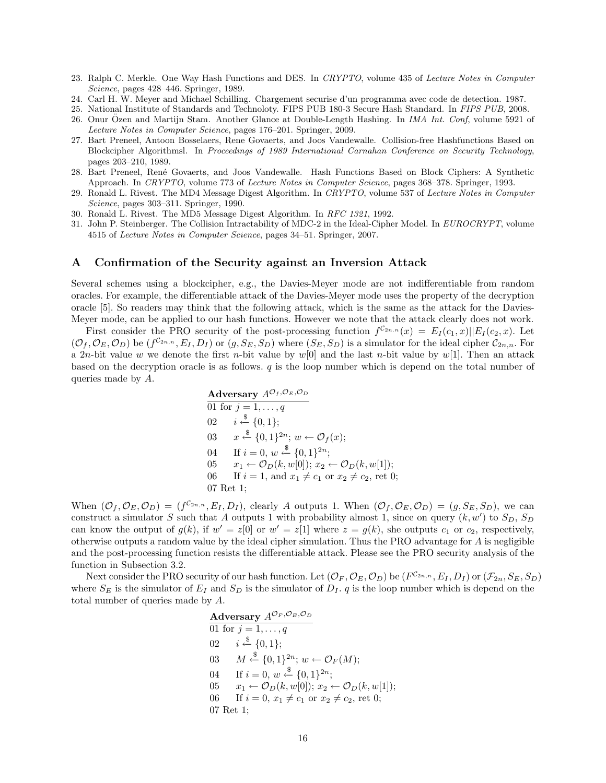- 23. Ralph C. Merkle. One Way Hash Functions and DES. In *CRYPTO*, volume 435 of *Lecture Notes in Computer Science*, pages 428–446. Springer, 1989.
- 24. Carl H. W. Meyer and Michael Schilling. Chargement securise d'un programma avec code de detection. 1987.
- 25. National Institute of Standards and Technoloty. FIPS PUB 180-3 Secure Hash Standard. In *FIPS PUB*, 2008.
- 26. Onur Ozen and Martijn Stam. Another Glance at Double-Length Hashing. In *IMA Int. Conf*, volume 5921 of *Lecture Notes in Computer Science*, pages 176–201. Springer, 2009.
- 27. Bart Preneel, Antoon Bosselaers, Rene Govaerts, and Joos Vandewalle. Collision-free Hashfunctions Based on Blockcipher Algorithmsl. In *Proceedings of 1989 International Carnahan Conference on Security Technology*, pages 203–210, 1989.
- 28. Bart Preneel, Ren´e Govaerts, and Joos Vandewalle. Hash Functions Based on Block Ciphers: A Synthetic Approach. In *CRYPTO*, volume 773 of *Lecture Notes in Computer Science*, pages 368–378. Springer, 1993.
- 29. Ronald L. Rivest. The MD4 Message Digest Algorithm. In *CRYPTO*, volume 537 of *Lecture Notes in Computer Science*, pages 303–311. Springer, 1990.
- 30. Ronald L. Rivest. The MD5 Message Digest Algorithm. In *RFC 1321*, 1992.
- 31. John P. Steinberger. The Collision Intractability of MDC-2 in the Ideal-Cipher Model. In *EUROCRYPT*, volume 4515 of *Lecture Notes in Computer Science*, pages 34–51. Springer, 2007.

## **A Confirmation of the Security against an Inversion Attack**

Several schemes using a blockcipher, e.g., the Davies-Meyer mode are not indifferentiable from random oracles. For example, the differentiable attack of the Davies-Meyer mode uses the property of the decryption oracle [5]. So readers may think that the following attack, which is the same as the attack for the Davies-Meyer mode, can be applied to our hash functions. However we note that the attack clearly does not work.

First consider the PRO security of the post-processing function  $f^{C_{2n,n}}(x) = E_I(c_1,x)||E_I(c_2,x)$ . Let  $(\mathcal{O}_f,\mathcal{O}_E,\mathcal{O}_D)$  be  $(f^{\mathcal{C}_{2n,n}},E_I,D_I)$  or  $(g,S_E,S_D)$  where  $(S_E,S_D)$  is a simulator for the ideal cipher  $\mathcal{C}_{2n,n}$ . For a 2*n*-bit value *w* we denote the first *n*-bit value by *w*[0] and the last *n*-bit value by *w*[1]. Then an attack based on the decryption oracle is as follows. *q* is the loop number which is depend on the total number of queries made by *A*.

**Adversary** 
$$
A^{\mathcal{O}_f, \mathcal{O}_E, \mathcal{O}_D}
$$
  
\n01 for  $j = 1, ..., q$   
\n02  $i \stackrel{\$}{\leftarrow} \{0, 1\};$   
\n03  $x \stackrel{\$}{\leftarrow} \{0, 1\}^{2n}; w \leftarrow \mathcal{O}_f(x);$   
\n04 If  $i = 0, w \stackrel{\$}{\leftarrow} \{0, 1\}^{2n};$   
\n05  $x_1 \leftarrow \mathcal{O}_D(k, w[0]); x_2 \leftarrow \mathcal{O}_D(k, w[1]);$   
\n06 If  $i = 1$ , and  $x_1 \neq c_1$  or  $x_2 \neq c_2$ , ret 0;  
\n07 Ret 1;

When  $(\mathcal{O}_f, \mathcal{O}_E, \mathcal{O}_D) = (f^{\mathcal{C}_{2n,n}}, E_I, D_I)$ , clearly A outputs 1. When  $(\mathcal{O}_f, \mathcal{O}_E, \mathcal{O}_D) = (g, S_E, S_D)$ , we can construct a simulator *S* such that *A* outputs 1 with probability almost 1, since on query  $(k, w')$  to  $S_D$ ,  $S_D$ can know the output of  $g(k)$ , if  $w' = z[0]$  or  $w' = z[1]$  where  $z = g(k)$ , she outputs  $c_1$  or  $c_2$ , respectively, otherwise outputs a random value by the ideal cipher simulation. Thus the PRO advantage for *A* is negligible and the post-processing function resists the differentiable attack. Please see the PRO security analysis of the function in Subsection 3.2.

Next consider the PRO security of our hash function. Let  $(\mathcal{O}_F, \mathcal{O}_E, \mathcal{O}_D)$  be  $(F^{C_{2n,n}}, E_I, D_I)$  or  $(\mathcal{F}_{2n}, S_E, S_D)$ where  $S_E$  is the simulator of  $E_I$  and  $S_D$  is the simulator of  $D_I$ . *q* is the loop number which is depend on the total number of queries made by *A*.

**Adversary** 
$$
A^{O_F, O_E, O_D}
$$
  
\n01 for  $j = 1, ..., q$   
\n02  $i \stackrel{\$}{\leftarrow} \{0, 1\};$   
\n03  $M \stackrel{\$}{\leftarrow} \{0, 1\}^{2n}; w \leftarrow O_F(M);$   
\n04 If  $i = 0, w \stackrel{\$}{\leftarrow} \{0, 1\}^{2n};$   
\n05  $x_1 \leftarrow O_D(k, w[0]); x_2 \leftarrow O_D(k, w[1]);$   
\n06 If  $i = 0, x_1 \neq c_1$  or  $x_2 \neq c_2$ , ret 0;  
\n07 Ret 1;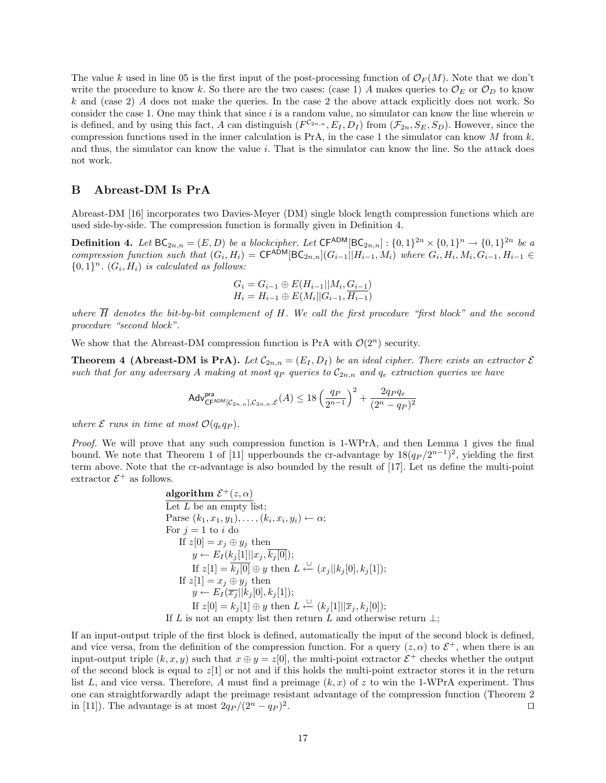The value *k* used in line 05 is the first input of the post-processing function of  $\mathcal{O}_F(M)$ . Note that we don't write the procedure to know k. So there are the two cases: (case 1) A makes queries to  $\mathcal{O}_E$  or  $\mathcal{O}_D$  to know *k* and (case 2) *A* does not make the queries. In the case 2 the above attack explicitly does not work. So consider the case 1. One may think that since *i* is a random value, no simulator can know the line wherein *w* is defined, and by using this fact, *A* can distinguish  $(F^{C_{2n,n}}, E_I, D_I)$  from  $(\mathcal{F}_{2n}, S_E, S_D)$ . However, since the compression functions used in the inner calculation is PrA, in the case 1 the simulator can know *M* from *k*, and thus, the simulator can know the value *i*. That is the simulator can know the line. So the attack does not work.

## **B Abreast-DM Is PrA**

Abreast-DM [16] incorporates two Davies-Meyer (DM) single block length compression functions which are used side-by-side. The compression function is formally given in Definition 4.

**Definition 4.** Let  $BC_{2n,n} = (E, D)$  be a blockcipher. Let  $\mathsf{CF^{ADM}}[BC_{2n,n}] : \{0,1\}^{2n} \times \{0,1\}^n \to \{0,1\}^{2n}$  be a compression function such that  $(G_i, H_i) = \mathsf{CF}^{\mathsf{ADM}}[\mathsf{BC}_{2n,n}](G_{i-1}||H_{i-1}, M_i)$  where  $G_i, H_i, M_i, G_{i-1}, H_{i-1} \in$  $\{0, 1\}^n$ .  $(G_i, H_i)$  *is calculated as follows:* 

$$
G_i = G_{i-1} \oplus E(H_{i-1}||M_i, G_{i-1})
$$
  

$$
H_i = H_{i-1} \oplus E(M_i||G_{i-1}, H_{i-1})
$$

*where*  $\overline{H}$  *denotes the bit-by-bit complement of*  $H$ *. We call the first procedure "first block" and the second procedure "second block".*

We show that the Abreast-DM compression function is PrA with  $\mathcal{O}(2^n)$  security.

**Theorem 4 (Abreast-DM is PrA).** *Let*  $C_{2n,n} = (E_I, D_I)$  *be an ideal cipher. There exists an extractor*  $\mathcal{E}$ *such that for any adversary A making at most*  $q_P$  *queries to*  $C_{2n,n}$  *and*  $q_e$  *extraction queries we have* 

$$
\mathsf{Adv}_{\mathsf{CF}^{\mathsf{ADM}}[\mathcal{C}_{2n,n}],\mathcal{C}_{2n,n},\mathcal{E}}^{\mathsf{pra}}(A) \leq 18 \left( \frac{q_P}{2^{n-1}} \right)^2 + \frac{2q_P q_e}{(2^n - q_P)^2}
$$

*where*  $\mathcal{E}$  *runs in time at most*  $\mathcal{O}(q_e q_P)$ *.* 

*Proof.* We will prove that any such compression function is 1-WPrA, and then Lemma 1 gives the final bound. We note that Theorem 1 of [11] upperbounds the cr-advantage by  $18(q_P/2^{n-1})^2$ , yielding the first term above. Note that the cr-advantage is also bounded by the result of [17]. Let us define the multi-point extractor  $\mathcal{E}^+$  as follows.

**algorithm** 
$$
\mathcal{E}^+(z, \alpha)
$$
  
\nLet *L* be an empty list;  
\nParse  $(k_1, x_1, y_1), \ldots, (k_i, x_i, y_i) \leftarrow \alpha$ ;  
\nFor  $j = 1$  to *i* do  
\nIf  $z[0] = x_j \oplus y_j$  then  
\n $y \leftarrow E_I(k_j[1] || x_j, \overline{k_j[0]});$   
\nIf  $z[1] = \overline{k_j[0]} \oplus y$  then  $L \stackrel{\cup}{\leftarrow} (x_j || k_j[0], k_j[1]);$   
\nIf  $z[1] = x_j \oplus y_j$  then  
\n $y \leftarrow E_I(\overline{x_j} || k_j[0], k_j[1]);$   
\nIf  $z[0] = k_j[1] \oplus y$  then  $L \stackrel{\cup}{\leftarrow} (k_j[1] || \overline{x}_j, k_j[0]);$   
\nIf *L* is not an empty list then return *L* and otherwise return  $\perp$ ;

If an input-output triple of the first block is defined, automatically the input of the second block is defined, and vice versa, from the definition of the compression function. For a query  $(z, \alpha)$  to  $\mathcal{E}^+$ , when there is an input-output triple  $(k, x, y)$  such that  $x \oplus y = z[0]$ , the multi-point extractor  $\mathcal{E}^+$  checks whether the output of the second block is equal to  $z[1]$  or not and if this holds the multi-point extractor stores it in the return list  $L$ , and vice versa. Therefore,  $A$  must find a preimage  $(k, x)$  of  $z$  to win the 1-WPrA experiment. Thus one can straightforwardly adapt the preimage resistant advantage of the compression function (Theorem 2 in [11]). The advantage is at most  $2q_P/(2^n - q_P)^2$ . *ut*